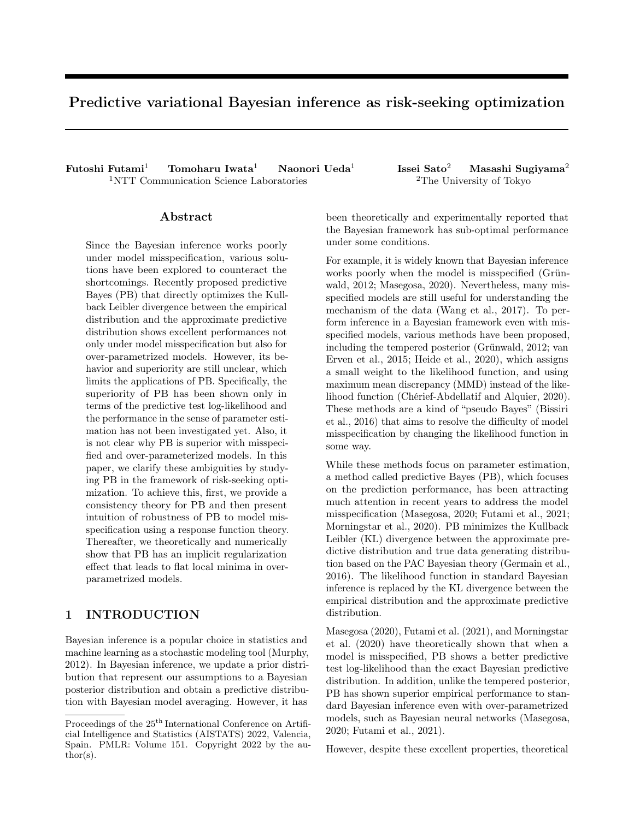# Predictive variational Bayesian inference as risk-seeking optimization

Futoshi Futami<sup>1</sup> Tomoharu Iwata<sup>1</sup> Naonori Ueda<sup>1</sup> <sup>1</sup>NTT Communication Science Laboratories <sup>2</sup>The University of Tokyo

### Abstract

Since the Bayesian inference works poorly under model misspecification, various solutions have been explored to counteract the shortcomings. Recently proposed predictive Bayes (PB) that directly optimizes the Kullback Leibler divergence between the empirical distribution and the approximate predictive distribution shows excellent performances not only under model misspecification but also for over-parametrized models. However, its behavior and superiority are still unclear, which limits the applications of PB. Specifically, the superiority of PB has been shown only in terms of the predictive test log-likelihood and the performance in the sense of parameter estimation has not been investigated yet. Also, it is not clear why PB is superior with misspecified and over-parameterized models. In this paper, we clarify these ambiguities by studying PB in the framework of risk-seeking optimization. To achieve this, first, we provide a consistency theory for PB and then present intuition of robustness of PB to model misspecification using a response function theory. Thereafter, we theoretically and numerically show that PB has an implicit regularization effect that leads to flat local minima in overparametrized models.

# 1 INTRODUCTION

Bayesian inference is a popular choice in statistics and machine learning as a stochastic modeling tool (Murphy, 2012). In Bayesian inference, we update a prior distribution that represent our assumptions to a Bayesian posterior distribution and obtain a predictive distribution with Bayesian model averaging. However, it has Issei Sato<sup>2</sup> Masashi Sugiyama<sup>2</sup>

been theoretically and experimentally reported that the Bayesian framework has sub-optimal performance under some conditions.

For example, it is widely known that Bayesian inference works poorly when the model is misspecified (Grünwald, 2012; Masegosa, 2020). Nevertheless, many misspecified models are still useful for understanding the mechanism of the data (Wang et al., 2017). To perform inference in a Bayesian framework even with misspecified models, various methods have been proposed, including the tempered posterior (Grünwald, 2012; van Erven et al., 2015; Heide et al., 2020), which assigns a small weight to the likelihood function, and using maximum mean discrepancy (MMD) instead of the likelihood function (Chérief-Abdellatif and Alquier, 2020). These methods are a kind of "pseudo Bayes" (Bissiri et al., 2016) that aims to resolve the difficulty of model misspecification by changing the likelihood function in some way.

While these methods focus on parameter estimation, a method called predictive Bayes (PB), which focuses on the prediction performance, has been attracting much attention in recent years to address the model misspecification (Masegosa, 2020; Futami et al., 2021; Morningstar et al., 2020). PB minimizes the Kullback Leibler (KL) divergence between the approximate predictive distribution and true data generating distribution based on the PAC Bayesian theory (Germain et al., 2016). The likelihood function in standard Bayesian inference is replaced by the KL divergence between the empirical distribution and the approximate predictive distribution.

Masegosa (2020), Futami et al. (2021), and Morningstar et al. (2020) have theoretically shown that when a model is misspecified, PB shows a better predictive test log-likelihood than the exact Bayesian predictive distribution. In addition, unlike the tempered posterior, PB has shown superior empirical performance to standard Bayesian inference even with over-parametrized models, such as Bayesian neural networks (Masegosa, 2020; Futami et al., 2021).

However, despite these excellent properties, theoretical

Proceedings of the  $25^{\mathrm{th}}$  International Conference on Artificial Intelligence and Statistics (AISTATS) 2022, Valencia, Spain. PMLR: Volume 151. Copyright 2022 by the au- $\text{thor}(s)$ .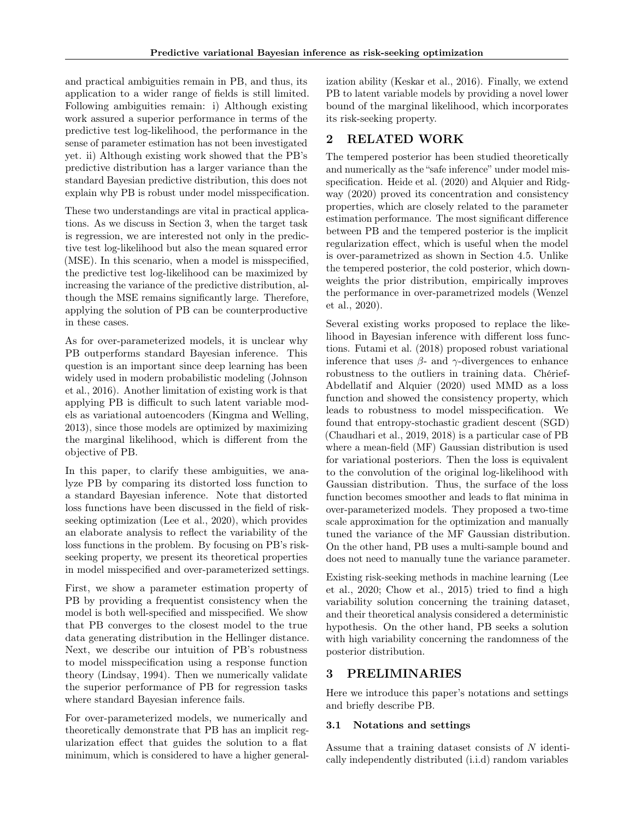and practical ambiguities remain in PB, and thus, its application to a wider range of fields is still limited. Following ambiguities remain: i) Although existing work assured a superior performance in terms of the predictive test log-likelihood, the performance in the sense of parameter estimation has not been investigated yet. ii) Although existing work showed that the PB's predictive distribution has a larger variance than the standard Bayesian predictive distribution, this does not explain why PB is robust under model misspecification.

These two understandings are vital in practical applications. As we discuss in Section 3, when the target task is regression, we are interested not only in the predictive test log-likelihood but also the mean squared error (MSE). In this scenario, when a model is misspecified, the predictive test log-likelihood can be maximized by increasing the variance of the predictive distribution, although the MSE remains significantly large. Therefore, applying the solution of PB can be counterproductive in these cases.

As for over-parameterized models, it is unclear why PB outperforms standard Bayesian inference. This question is an important since deep learning has been widely used in modern probabilistic modeling (Johnson et al., 2016). Another limitation of existing work is that applying PB is difficult to such latent variable models as variational autoencoders (Kingma and Welling, 2013), since those models are optimized by maximizing the marginal likelihood, which is different from the objective of PB.

In this paper, to clarify these ambiguities, we analyze PB by comparing its distorted loss function to a standard Bayesian inference. Note that distorted loss functions have been discussed in the field of riskseeking optimization (Lee et al., 2020), which provides an elaborate analysis to reflect the variability of the loss functions in the problem. By focusing on PB's riskseeking property, we present its theoretical properties in model misspecified and over-parameterized settings.

First, we show a parameter estimation property of PB by providing a frequentist consistency when the model is both well-specified and misspecified. We show that PB converges to the closest model to the true data generating distribution in the Hellinger distance. Next, we describe our intuition of PB's robustness to model misspecification using a response function theory (Lindsay, 1994). Then we numerically validate the superior performance of PB for regression tasks where standard Bayesian inference fails.

For over-parameterized models, we numerically and theoretically demonstrate that PB has an implicit regularization effect that guides the solution to a flat minimum, which is considered to have a higher generalization ability (Keskar et al., 2016). Finally, we extend PB to latent variable models by providing a novel lower bound of the marginal likelihood, which incorporates its risk-seeking property.

# 2 RELATED WORK

The tempered posterior has been studied theoretically and numerically as the "safe inference" under model misspecification. Heide et al. (2020) and Alquier and Ridgway (2020) proved its concentration and consistency properties, which are closely related to the parameter estimation performance. The most significant difference between PB and the tempered posterior is the implicit regularization effect, which is useful when the model is over-parametrized as shown in Section 4.5. Unlike the tempered posterior, the cold posterior, which downweights the prior distribution, empirically improves the performance in over-parametrized models (Wenzel et al., 2020).

Several existing works proposed to replace the likelihood in Bayesian inference with different loss functions. Futami et al. (2018) proposed robust variational inference that uses  $\beta$ - and  $\gamma$ -divergences to enhance robustness to the outliers in training data. Chérief-Abdellatif and Alquier (2020) used MMD as a loss function and showed the consistency property, which leads to robustness to model misspecification. We found that entropy-stochastic gradient descent (SGD) (Chaudhari et al., 2019, 2018) is a particular case of PB where a mean-field (MF) Gaussian distribution is used for variational posteriors. Then the loss is equivalent to the convolution of the original log-likelihood with Gaussian distribution. Thus, the surface of the loss function becomes smoother and leads to flat minima in over-parameterized models. They proposed a two-time scale approximation for the optimization and manually tuned the variance of the MF Gaussian distribution. On the other hand, PB uses a multi-sample bound and does not need to manually tune the variance parameter.

Existing risk-seeking methods in machine learning (Lee et al., 2020; Chow et al., 2015) tried to find a high variability solution concerning the training dataset, and their theoretical analysis considered a deterministic hypothesis. On the other hand, PB seeks a solution with high variability concerning the randomness of the posterior distribution.

# 3 PRELIMINARIES

Here we introduce this paper's notations and settings and briefly describe PB.

## 3.1 Notations and settings

Assume that a training dataset consists of N identically independently distributed (i.i.d) random variables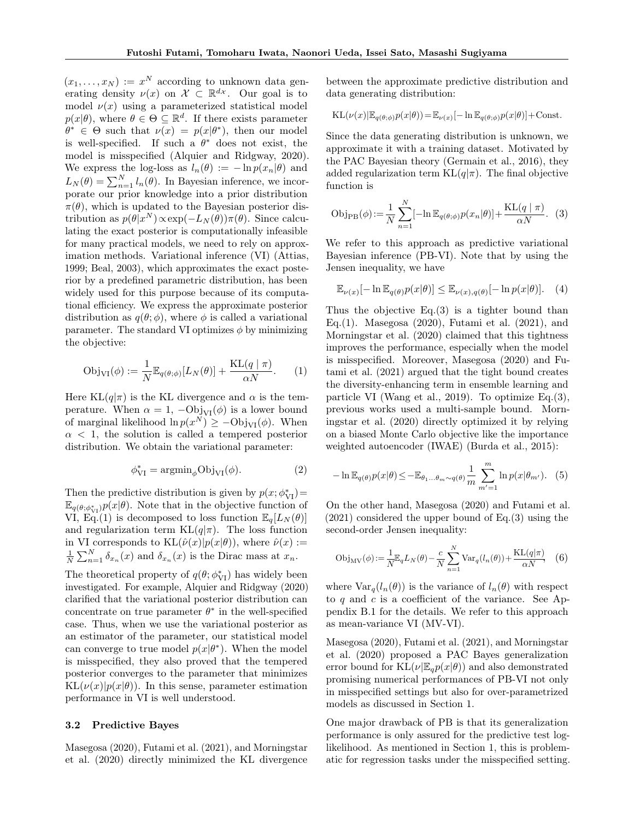$(x_1, \ldots, x_N) := x^N$  according to unknown data generating density  $\nu(x)$  on  $\mathcal{X} \subset \mathbb{R}^{d_{\mathcal{X}}}$ . Our goal is to model  $\nu(x)$  using a parameterized statistical model  $p(x|\theta)$ , where  $\theta \in \Theta \subseteq \mathbb{R}^d$ . If there exists parameter  $\theta^* \in \Theta$  such that  $\nu(x) = p(x|\theta^*)$ , then our model is well-specified. If such a  $\theta^*$  does not exist, the model is misspecified (Alquier and Ridgway, 2020). We express the log-loss as  $l_n(\theta) := -\ln p(x_n|\theta)$  and  $L_N(\theta) = \sum_{n=1}^N l_n(\theta)$ . In Bayesian inference, we incorporate our prior knowledge into a prior distribution  $\pi(\theta)$ , which is updated to the Bayesian posterior distribution as  $p(\theta|x^N) \propto \exp(-L_N(\theta))\pi(\theta)$ . Since calculating the exact posterior is computationally infeasible for many practical models, we need to rely on approximation methods. Variational inference (VI) (Attias, 1999; Beal, 2003), which approximates the exact posterior by a predefined parametric distribution, has been widely used for this purpose because of its computational efficiency. We express the approximate posterior distribution as  $q(\theta; \phi)$ , where  $\phi$  is called a variational parameter. The standard VI optimizes  $\phi$  by minimizing the objective:

$$
Obj_{VI}(\phi) := \frac{1}{N} \mathbb{E}_{q(\theta; \phi)} [L_N(\theta)] + \frac{KL(q \mid \pi)}{\alpha N}.
$$
 (1)

Here  $KL(q|\pi)$  is the KL divergence and  $\alpha$  is the temperature. When  $\alpha = 1$ ,  $-\text{Obj}_{VI}(\phi)$  is a lower bound of marginal likelihood  $\ln p(x^N) \ge -\text{Obj}_{VI}(\phi)$ . When  $\alpha$  < 1, the solution is called a tempered posterior distribution. We obtain the variational parameter:

$$
\phi_{VI}^* = \operatorname{argmin}_{\phi} \text{Obj}_{VI}(\phi). \tag{2}
$$

Then the predictive distribution is given by  $p(x; \phi_{VI}^*) =$  $\mathbb{E}_{q(\theta,\phi_{\mathrm{VI}}^*)} p(x|\theta)$ . Note that in the objective function of VI, Eq.(1) is decomposed to loss function  $\mathbb{E}_q[L_N(\theta)]$ and regularization term  $KL(q|\pi)$ . The loss function in VI corresponds to  $KL(\hat{\nu}(x)|p(x|\theta))$ , where  $\hat{\nu}(x) :=$  $\frac{1}{N} \sum_{n=1}^{N} \delta_{x_n}(x)$  and  $\delta_{x_n}(x)$  is the Dirac mass at  $x_n$ .

The theoretical property of  $q(\theta; \phi_{\text{VI}}^*)$  has widely been investigated. For example, Alquier and Ridgway (2020) clarified that the variational posterior distribution can concentrate on true parameter  $\theta^*$  in the well-specified case. Thus, when we use the variational posterior as an estimator of the parameter, our statistical model can converge to true model  $p(x|\theta^*)$ . When the model is misspecified, they also proved that the tempered posterior converges to the parameter that minimizes  $KL(\nu(x)|p(x|\theta))$ . In this sense, parameter estimation performance in VI is well understood.

#### 3.2 Predictive Bayes

Masegosa (2020), Futami et al. (2021), and Morningstar et al. (2020) directly minimized the KL divergence between the approximate predictive distribution and data generating distribution:

KL
$$
(\nu(x)|\mathbb{E}_{q(\theta;\phi)}p(x|\theta)) = \mathbb{E}_{\nu(x)}[-\ln \mathbb{E}_{q(\theta;\phi)}p(x|\theta)] + \text{Const.}
$$

Since the data generating distribution is unknown, we approximate it with a training dataset. Motivated by the PAC Bayesian theory (Germain et al., 2016), they added regularization term  $KL(q|\pi)$ . The final objective function is

$$
\text{Obj}_{\text{PB}}(\phi) := \frac{1}{N} \sum_{n=1}^{N} [-\ln \mathbb{E}_{q(\theta; \phi)} p(x_n | \theta)] + \frac{\text{KL}(q \mid \pi)}{\alpha N}.
$$
 (3)

We refer to this approach as predictive variational Bayesian inference (PB-VI). Note that by using the Jensen inequality, we have

$$
\mathbb{E}_{\nu(x)}[-\ln \mathbb{E}_{q(\theta)}p(x|\theta)] \leq \mathbb{E}_{\nu(x),q(\theta)}[-\ln p(x|\theta)]. \quad (4)
$$

Thus the objective Eq.(3) is a tighter bound than Eq.(1). Masegosa (2020), Futami et al. (2021), and Morningstar et al. (2020) claimed that this tightness improves the performance, especially when the model is misspecified. Moreover, Masegosa (2020) and Futami et al. (2021) argued that the tight bound creates the diversity-enhancing term in ensemble learning and particle VI (Wang et al., 2019). To optimize Eq.(3), previous works used a multi-sample bound. Morningstar et al. (2020) directly optimized it by relying on a biased Monte Carlo objective like the importance weighted autoencoder (IWAE) (Burda et al., 2015):

$$
-\ln \mathbb{E}_{q(\theta)} p(x|\theta) \le -\mathbb{E}_{\theta_1...\theta_m \sim q(\theta)} \frac{1}{m} \sum_{m'=1}^m \ln p(x|\theta_{m'}).
$$
 (5)

On the other hand, Masegosa (2020) and Futami et al. (2021) considered the upper bound of Eq.(3) using the second-order Jensen inequality:

$$
\text{Obj}_{\text{MV}}(\phi) := \frac{1}{N} \mathbb{E}_q L_N(\theta) - \frac{c}{N} \sum_{n=1}^N \text{Var}_q(l_n(\theta)) + \frac{\text{KL}(q|\pi)}{\alpha N}, \quad (6)
$$

where  $\text{Var}_q(l_n(\theta))$  is the variance of  $l_n(\theta)$  with respect to q and c is a coefficient of the variance. See Appendix B.1 for the details. We refer to this approach as mean-variance VI (MV-VI).

Masegosa (2020), Futami et al. (2021), and Morningstar et al. (2020) proposed a PAC Bayes generalization error bound for  $KL(\nu|\mathbb{E}_q p(x|\theta))$  and also demonstrated promising numerical performances of PB-VI not only in misspecified settings but also for over-parametrized models as discussed in Section 1.

One major drawback of PB is that its generalization performance is only assured for the predictive test loglikelihood. As mentioned in Section 1, this is problematic for regression tasks under the misspecified setting.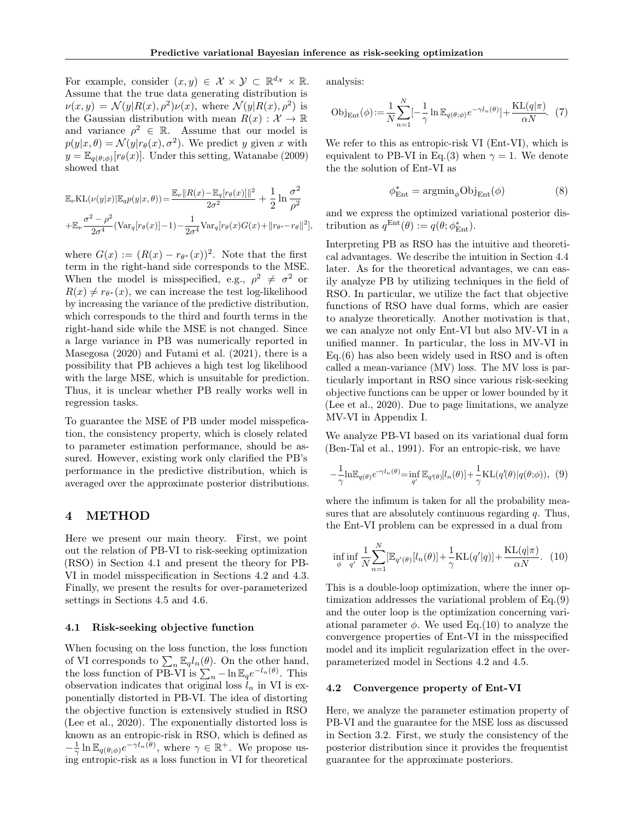For example, consider  $(x, y) \in \mathcal{X} \times \mathcal{Y} \subset \mathbb{R}^{d_{\mathcal{X}}} \times \mathbb{R}$ . Assume that the true data generating distribution is  $\nu(x, y) = \mathcal{N}(y|R(x), \rho^2)\nu(x)$ , where  $\mathcal{N}(y|R(x), \rho^2)$  is the Gaussian distribution with mean  $R(x): \mathcal{X} \to \mathbb{R}$ and variance  $\rho^2 \in \mathbb{R}$ . Assume that our model is  $p(y|x, \theta) = \mathcal{N}(y|r_{\theta}(x), \sigma^2)$ . We predict y given x with  $y = \mathbb{E}_{q(\theta; \phi)}[r_{\theta}(x)].$  Under this setting, Watanabe (2009) showed that

$$
\mathbb{E}_{\nu} \text{KL}(\nu(y|x) | \mathbb{E}_{q} p(y|x, \theta)) = \frac{\mathbb{E}_{\nu} \|R(x) - \mathbb{E}_{q} [r_{\theta}(x)]\|^{2}}{2\sigma^{2}} + \frac{1}{2} \ln \frac{\sigma^{2}}{\rho^{2}} + \mathbb{E}_{\nu} \frac{\sigma^{2} - \rho^{2}}{2\sigma^{4}} (\text{Var}_{q} [r_{\theta}(x)] - 1) - \frac{1}{2\sigma^{4}} \text{Var}_{q} [r_{\theta}(x) G(x) + ||r_{\theta^{*}} - r_{\theta}||^{2}],
$$

where  $G(x) := (R(x) - r_{\theta^*}(x))^2$ . Note that the first term in the right-hand side corresponds to the MSE. When the model is misspecified, e.g.,  $\rho^2 \neq \sigma^2$  or  $R(x) \neq r_{\theta^*}(x)$ , we can increase the test log-likelihood by increasing the variance of the predictive distribution, which corresponds to the third and fourth terms in the right-hand side while the MSE is not changed. Since a large variance in PB was numerically reported in Masegosa (2020) and Futami et al. (2021), there is a possibility that PB achieves a high test log likelihood with the large MSE, which is unsuitable for prediction. Thus, it is unclear whether PB really works well in regression tasks.

To guarantee the MSE of PB under model misspefication, the consistency property, which is closely related to parameter estimation performance, should be assured. However, existing work only clarified the PB's performance in the predictive distribution, which is averaged over the approximate posterior distributions.

### 4 METHOD

Here we present our main theory. First, we point out the relation of PB-VI to risk-seeking optimization (RSO) in Section 4.1 and present the theory for PB-VI in model misspecification in Sections 4.2 and 4.3. Finally, we present the results for over-parameterized settings in Sections 4.5 and 4.6.

#### 4.1 Risk-seeking objective function

When focusing on the loss function, the loss function of VI corresponds to  $\sum_n \mathbb{E}_q l_n(\theta)$ . On the other hand, the loss function of PB-VI is  $\sum_{n} - \ln \mathbb{E}_q e^{-l_n(\theta)}$ . This observation indicates that original loss  $l_n$  in VI is exponentially distorted in PB-VI. The idea of distorting the objective function is extensively studied in RSO (Lee et al., 2020). The exponentially distorted loss is known as an entropic-risk in RSO, which is defined as  $-\frac{1}{\gamma}\ln \mathbb{E}_{q(\theta;\phi)}e^{-\gamma l_n(\theta)},$  where  $\gamma \in \mathbb{R}^+$ . We propose using entropic-risk as a loss function in VI for theoretical

analysis:

$$
\text{Obj}_{\text{Ent}}(\phi) := \frac{1}{N} \sum_{n=1}^{N} \left[ -\frac{1}{\gamma} \ln \mathbb{E}_{q(\theta; \phi)} e^{-\gamma l_n(\theta)} \right] + \frac{\text{KL}(q|\pi)}{\alpha N}. \tag{7}
$$

We refer to this as entropic-risk VI (Ent-VI), which is equivalent to PB-VI in Eq.(3) when  $\gamma = 1$ . We denote the the solution of Ent-VI as

$$
\phi_{Ent}^{*} = \operatorname{argmin}_{\phi} \text{Obj}_{Ent}(\phi) \tag{8}
$$

and we express the optimized variational posterior distribution as  $q^{\text{Ent}}(\theta) := q(\theta; \phi_{\text{Ent}}^*)$ .

Interpreting PB as RSO has the intuitive and theoretical advantages. We describe the intuition in Section 4.4 later. As for the theoretical advantages, we can easily analyze PB by utilizing techniques in the field of RSO. In particular, we utilize the fact that objective functions of RSO have dual forms, which are easier to analyze theoretically. Another motivation is that, we can analyze not only Ent-VI but also MV-VI in a unified manner. In particular, the loss in MV-VI in Eq.(6) has also been widely used in RSO and is often called a mean-variance (MV) loss. The MV loss is particularly important in RSO since various risk-seeking objective functions can be upper or lower bounded by it (Lee et al., 2020). Due to page limitations, we analyze MV-VI in Appendix I.

We analyze PB-VI based on its variational dual form (Ben-Tal et al., 1991). For an entropic-risk, we have

$$
-\frac{1}{\gamma}\ln \mathbb{E}_{q(\theta)}e^{-\gamma l_n(\theta)} = \inf_{q'} \mathbb{E}_{q'(\theta)}[l_n(\theta)] + \frac{1}{\gamma}\text{KL}(q'(\theta)|q(\theta;\phi)), (9)
$$

where the infimum is taken for all the probability measures that are absolutely continuous regarding  $q$ . Thus, the Ent-VI problem can be expressed in a dual from

$$
\inf_{\phi} \inf_{q'} \frac{1}{N} \sum_{n=1}^{N} [\mathbb{E}_{q'(\theta)}[l_n(\theta)] + \frac{1}{\gamma} \text{KL}(q'|q)] + \frac{\text{KL}(q|\pi)}{\alpha N}.
$$
 (10)

This is a double-loop optimization, where the inner optimization addresses the variational problem of Eq.(9) and the outer loop is the optimization concerning variational parameter  $\phi$ . We used Eq.(10) to analyze the convergence properties of Ent-VI in the misspecified model and its implicit regularization effect in the overparameterized model in Sections 4.2 and 4.5.

#### 4.2 Convergence property of Ent-VI

Here, we analyze the parameter estimation property of PB-VI and the guarantee for the MSE loss as discussed in Section 3.2. First, we study the consistency of the posterior distribution since it provides the frequentist guarantee for the approximate posteriors.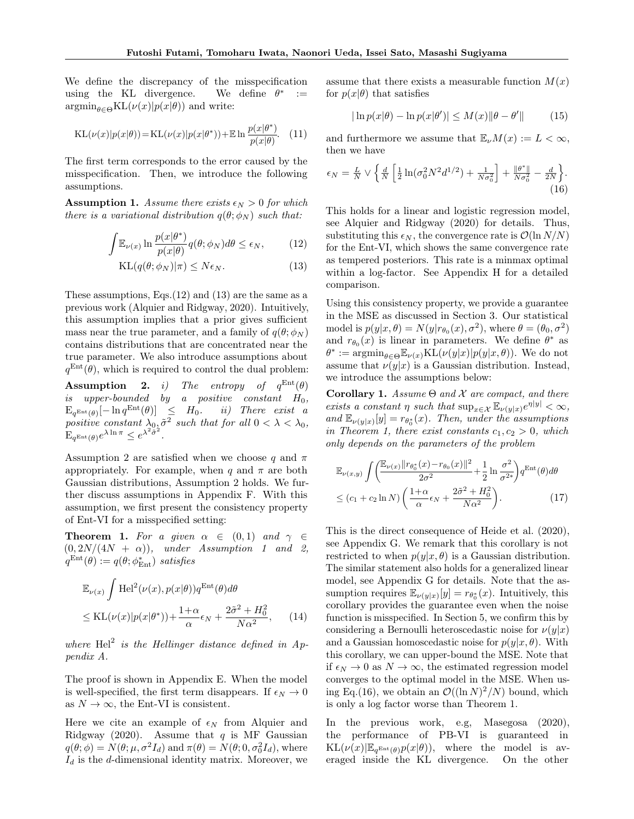We define the discrepancy of the misspecification using the KL divergence. We define  $\theta^*$  $\cdot$  :=  $\operatorname{argmin}_{\theta \in \Theta} \text{KL}(\nu(x)|p(x|\theta))$  and write:

$$
KL(\nu(x)|p(x|\theta)) = KL(\nu(x)|p(x|\theta^*)) + E \ln \frac{p(x|\theta^*)}{p(x|\theta)}.
$$
 (11)

The first term corresponds to the error caused by the misspecification. Then, we introduce the following assumptions.

**Assumption 1.** Assume there exists  $\epsilon_N > 0$  for which there is a variational distribution  $q(\theta; \phi_N)$  such that:

$$
\int \mathbb{E}_{\nu(x)} \ln \frac{p(x|\theta^*)}{p(x|\theta)} q(\theta; \phi_N) d\theta \le \epsilon_N, \qquad (12)
$$

$$
KL(q(\theta; \phi_N)|\pi) \le N\epsilon_N. \tag{13}
$$

These assumptions, Eqs. $(12)$  and  $(13)$  are the same as a previous work (Alquier and Ridgway, 2020). Intuitively, this assumption implies that a prior gives sufficient mass near the true parameter, and a family of  $q(\theta; \phi_N)$ contains distributions that are concentrated near the true parameter. We also introduce assumptions about  $q^{\text{Ent}}(\theta)$ , which is required to control the dual problem:

**Assumption** 2. *i*) The entropy of  $q^{\text{Ent}}(\theta)$ is upper-bounded by a positive constant  $H_0$ ,  $\mathbb{E}_{q^{\text{Ent}}(\theta)}[-\ln q^{\text{Ent}}(\theta)] \leq H_0.$  ii) There exist a positive constant  $\lambda_{0}$ ,  $\tilde{\sigma}^2$  such that for all  $0 < \lambda < \lambda_0$ ,  $\mathbf{E}_{q^{\text{Ent}}(\theta)}e^{\lambda \ln \pi} \leq e^{\lambda^2 \tilde{\sigma}^2}.$ 

Assumption 2 are satisfied when we choose q and  $\pi$ appropriately. For example, when q and  $\pi$  are both Gaussian distributions, Assumption 2 holds. We further discuss assumptions in Appendix F. With this assumption, we first present the consistency property of Ent-VI for a misspecified setting:

**Theorem 1.** For a given  $\alpha \in (0,1)$  and  $\gamma \in$  $(0, 2N/(4N + \alpha))$ , under Assumption 1 and 2,  $q^{\text{Ent}}(\theta) := q(\theta; \phi_{\text{Ent}}^*)$  satisfies

$$
\mathbb{E}_{\nu(x)} \int \text{Hel}^2(\nu(x), p(x|\theta)) q^{\text{Ent}}(\theta) d\theta
$$
  
\n
$$
\leq \text{KL}(\nu(x)|p(x|\theta^*)) + \frac{1+\alpha}{\alpha} \epsilon_N + \frac{2\tilde{\sigma}^2 + H_0^2}{N\alpha^2},
$$
 (14)

where  $\text{Hel}^2$  is the Hellinger distance defined in Appendix A.

The proof is shown in Appendix E. When the model is well-specified, the first term disappears. If  $\epsilon_N \to 0$ as  $N \to \infty$ , the Ent-VI is consistent.

Here we cite an example of  $\epsilon_N$  from Alquier and Ridgway (2020). Assume that  $q$  is MF Gaussian  $q(\theta; \phi) = N(\theta; \mu, \sigma^2 I_d)$  and  $\pi(\theta) = N(\theta; 0, \sigma_0^2 I_d)$ , where  $I_d$  is the d-dimensional identity matrix. Moreover, we assume that there exists a measurable function  $M(x)$ for  $p(x|\theta)$  that satisfies

$$
|\ln p(x|\theta) - \ln p(x|\theta')| \le M(x) \|\theta - \theta'\|
$$
 (15)

and furthermore we assume that  $\mathbb{E}_{\nu}M(x) := L < \infty$ , then we have

$$
\epsilon_N = \frac{L}{N} \vee \left\{ \frac{d}{N} \left[ \frac{1}{2} \ln(\sigma_0^2 N^2 d^{1/2}) + \frac{1}{N \sigma_0^2} \right] + \frac{\|\theta^*\|}{N \sigma_0^2} - \frac{d}{2N} \right\}.
$$
\n(16)

This holds for a linear and logistic regression model, see Alquier and Ridgway (2020) for details. Thus, substituting this  $\epsilon_N$ , the convergence rate is  $\mathcal{O}(\ln N/N)$ for the Ent-VI, which shows the same convergence rate as tempered posteriors. This rate is a minmax optimal within a log-factor. See Appendix H for a detailed comparison.

Using this consistency property, we provide a guarantee in the MSE as discussed in Section 3. Our statistical model is  $p(y|x, \theta) = N(y|r_{\theta_0}(x), \sigma^2)$ , where  $\theta = (\theta_0, \sigma^2)$ and  $r_{\theta_0}(x)$  is linear in parameters. We define  $\theta^*$  as  $\theta^* := \mathrm{argmin}_{\theta \in \Theta} \mathbb{E}_{\nu(x)} \mathrm{KL}(\nu(y|x)|p(y|x,\theta)).$  We do not assume that  $\nu(y|x)$  is a Gaussian distribution. Instead, we introduce the assumptions below:

Corollary 1. Assume  $\Theta$  and  $\mathcal X$  are compact, and there exists a constant  $\eta$  such that  $\sup_{x \in \mathcal{X}} \mathbb{E}_{\nu(y|x)} e^{\eta |y|} < \infty$ , and  $\mathbb{E}_{\nu(y|x)}[y] = r_{\theta_0^*}(x)$ . Then, under the assumptions in Theorem 1, there exist constants  $c_1, c_2 > 0$ , which only depends on the parameters of the problem

$$
\mathbb{E}_{\nu(x,y)} \int \left( \frac{\mathbb{E}_{\nu(x)} ||r_{\theta_0^*}(x) - r_{\theta_0}(x)||^2}{2\sigma^2} + \frac{1}{2} \ln \frac{\sigma^2}{\sigma^{2*}} \right) q^{\text{Ent}}(\theta) d\theta
$$
  

$$
\leq (c_1 + c_2 \ln N) \left( \frac{1 + \alpha}{\alpha} \epsilon_N + \frac{2\tilde{\sigma}^2 + H_0^2}{N\alpha^2} \right). \tag{17}
$$

This is the direct consequence of Heide et al. (2020), see Appendix G. We remark that this corollary is not restricted to when  $p(y|x, \theta)$  is a Gaussian distribution. The similar statement also holds for a generalized linear model, see Appendix G for details. Note that the assumption requires  $\mathbb{E}_{\nu(y|x)}[y] = r_{\theta_0^*}(x)$ . Intuitively, this corollary provides the guarantee even when the noise function is misspecified. In Section 5, we confirm this by considering a Bernoulli heteroscedastic noise for  $\nu(y|x)$ and a Gaussian homoscedastic noise for  $p(y|x, \theta)$ . With this corollary, we can upper-bound the MSE. Note that if  $\epsilon_N \to 0$  as  $N \to \infty$ , the estimated regression model converges to the optimal model in the MSE. When using Eq.(16), we obtain an  $\mathcal{O}((\ln N)^2/N)$  bound, which is only a log factor worse than Theorem 1.

In the previous work, e.g, Masegosa (2020), the performance of PB-VI is guaranteed in  $KL(\nu(x)|\mathbb{E}_{q^{Ent}(\theta)}p(x|\theta)),$  where the model is averaged inside the KL divergence. On the other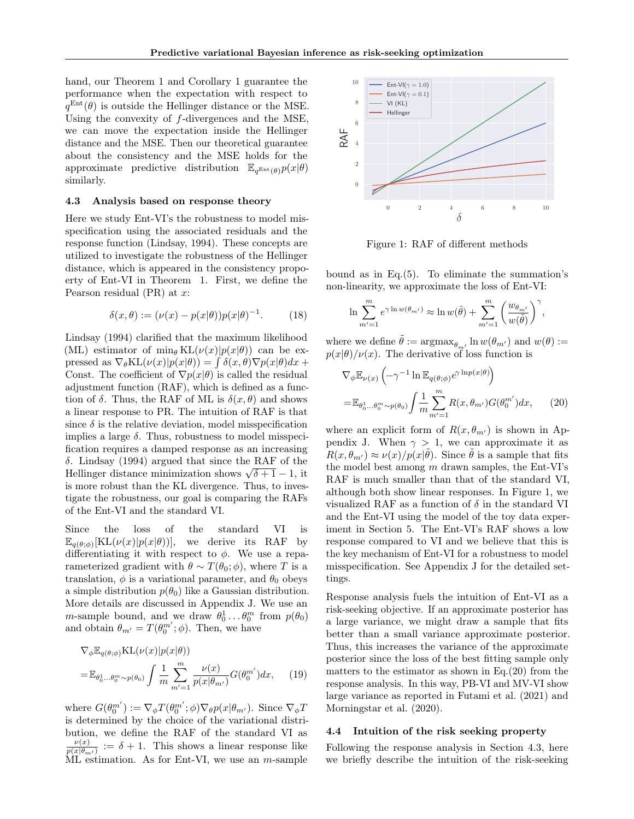hand, our Theorem 1 and Corollary 1 guarantee the performance when the expectation with respect to  $q^{\text{Ent}}(\theta)$  is outside the Hellinger distance or the MSE. Using the convexity of  $f$ -divergences and the MSE, we can move the expectation inside the Hellinger distance and the MSE. Then our theoretical guarantee about the consistency and the MSE holds for the approximate predictive distribution  $\mathbb{E}_{q^{\text{Ent}}(\theta)}p(x|\theta)$ similarly.

#### 4.3 Analysis based on response theory

Here we study Ent-VI's the robustness to model misspecification using the associated residuals and the response function (Lindsay, 1994). These concepts are utilized to investigate the robustness of the Hellinger distance, which is appeared in the consistency propoerty of Ent-VI in Theorem 1. First, we define the Pearson residual  $(PR)$  at  $x$ :

$$
\delta(x,\theta) := (\nu(x) - p(x|\theta))p(x|\theta)^{-1}.
$$
 (18)

Lindsay (1994) clarified that the maximum likelihood (ML) estimator of min<sub>θ</sub> KL( $\nu(x)|p(x|\theta)$ ) can be expressed as  $\nabla_{\theta} \text{KL}(\nu(x)|p(x|\theta)) = \int \delta(x,\theta) \nabla p(x|\theta) dx +$ Const. The coefficient of  $\nabla p(x|\theta)$  is called the residual adjustment function (RAF), which is defined as a function of  $\delta$ . Thus, the RAF of ML is  $\delta(x, \theta)$  and shows a linear response to PR. The intuition of RAF is that since  $\delta$  is the relative deviation, model misspecification implies a large  $\delta$ . Thus, robustness to model misspecification requires a damped response as an increasing δ. Lindsay (1994) argued that since the RAF of the Hellinger distance minimization shows  $\sqrt{\delta+1} - 1$ , it is more robust than the KL divergence. Thus, to investigate the robustness, our goal is comparing the RAFs of the Ent-VI and the standard VI.

Since the loss of the standard VI is  $\mathbb{E}_{q(\theta,\phi)}[\text{KL}(\nu(x)|p(x|\theta))],$  we derive its RAF by differentiating it with respect to  $\phi$ . We use a reparameterized gradient with  $\theta \sim T(\theta_0; \phi)$ , where T is a translation,  $\phi$  is a variational parameter, and  $\theta_0$  obeys a simple distribution  $p(\theta_0)$  like a Gaussian distribution. More details are discussed in Appendix J. We use an *m*-sample bound, and we draw  $\theta_0^1 \dots \theta_0^m$  from  $p(\theta_0)$ and obtain  $\theta_{m'} = T(\theta_0^{m'}; \phi)$ . Then, we have

$$
\nabla_{\phi} \mathbb{E}_{q(\theta;\phi)} \text{KL}(\nu(x)|p(x|\theta))
$$
  
= 
$$
\mathbb{E}_{\theta_0^1... \theta_0^m \sim p(\theta_0)} \int \frac{1}{m} \sum_{m'=1}^m \frac{\nu(x)}{p(x|\theta_{m'})} G(\theta_0^{m'}) dx, \quad (19)
$$

where  $G(\theta_0^{m'}) := \nabla_{\phi} T(\theta_0^{m'}; \phi) \nabla_{\theta} p(x | \theta_{m'})$ . Since  $\nabla_{\phi} T$ is determined by the choice of the variational distribution, we define the RAF of the standard VI as  $\frac{\nu(x)}{p(x|\theta_{m'})} := \delta + 1$ . This shows a linear response like ML estimation. As for Ent-VI, we use an m-sample



Figure 1: RAF of different methods

bound as in Eq.(5). To eliminate the summation's non-linearity, we approximate the loss of Ent-VI:

$$
\ln \sum_{m'=1}^m e^{\gamma \ln w(\theta_{m'})} \approx \ln w(\tilde{\theta}) + \sum_{m'=1}^m \left( \frac{w_{\theta_{m'}}}{w(\tilde{\theta})} \right)^{\gamma},
$$

where we define  $\tilde{\theta} := \operatorname{argmax}_{\theta_{m'}} \ln w(\theta_{m'})$  and  $w(\theta) :=$  $p(x|\theta)/\nu(x)$ . The derivative of loss function is

$$
\nabla_{\phi} \mathbb{E}_{\nu(x)} \left( -\gamma^{-1} \ln \mathbb{E}_{q(\theta; \phi)} e^{\gamma \ln p(x|\theta)} \right)
$$
  
= 
$$
\mathbb{E}_{\theta_0^1 \dots \theta_0^m \sim p(\theta_0)} \int \frac{1}{m} \sum_{m'=1}^m R(x, \theta_{m'}) G(\theta_0^{m'}) dx,
$$
 (20)

where an explicit form of  $R(x, \theta_{m'})$  is shown in Appendix J. When  $\gamma > 1$ , we can approximate it as  $R(x, \theta_{m'}) \approx \nu(x)/p(x|\tilde{\theta})$ . Since  $\tilde{\theta}$  is a sample that fits the model best among  $m$  drawn samples, the Ent-VI's RAF is much smaller than that of the standard VI, although both show linear responses. In Figure 1, we visualized RAF as a function of  $\delta$  in the standard VI and the Ent-VI using the model of the toy data experiment in Section 5. The Ent-VI's RAF shows a low response compared to VI and we believe that this is the key mechanism of Ent-VI for a robustness to model misspecification. See Appendix J for the detailed settings.

Response analysis fuels the intuition of Ent-VI as a risk-seeking objective. If an approximate posterior has a large variance, we might draw a sample that fits better than a small variance approximate posterior. Thus, this increases the variance of the approximate posterior since the loss of the best fitting sample only matters to the estimator as shown in Eq. $(20)$  from the response analysis. In this way, PB-VI and MV-VI show large variance as reported in Futami et al. (2021) and Morningstar et al. (2020).

#### 4.4 Intuition of the risk seeking property

Following the response analysis in Section 4.3, here we briefly describe the intuition of the risk-seeking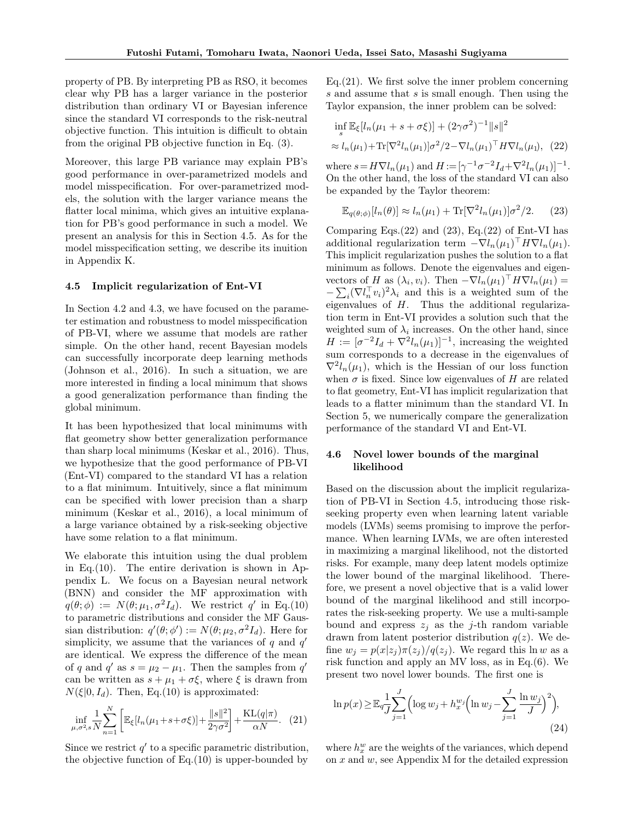property of PB. By interpreting PB as RSO, it becomes clear why PB has a larger variance in the posterior distribution than ordinary VI or Bayesian inference since the standard VI corresponds to the risk-neutral objective function. This intuition is difficult to obtain from the original PB objective function in Eq. (3).

Moreover, this large PB variance may explain PB's good performance in over-parametrized models and model misspecification. For over-parametrized models, the solution with the larger variance means the flatter local minima, which gives an intuitive explanation for PB's good performance in such a model. We present an analysis for this in Section 4.5. As for the model misspecification setting, we describe its inuition in Appendix K.

#### 4.5 Implicit regularization of Ent-VI

In Section 4.2 and 4.3, we have focused on the parameter estimation and robustness to model misspecification of PB-VI, where we assume that models are rather simple. On the other hand, recent Bayesian models can successfully incorporate deep learning methods (Johnson et al., 2016). In such a situation, we are more interested in finding a local minimum that shows a good generalization performance than finding the global minimum.

It has been hypothesized that local minimums with flat geometry show better generalization performance than sharp local minimums (Keskar et al., 2016). Thus, we hypothesize that the good performance of PB-VI (Ent-VI) compared to the standard VI has a relation to a flat minimum. Intuitively, since a flat minimum can be specified with lower precision than a sharp minimum (Keskar et al., 2016), a local minimum of a large variance obtained by a risk-seeking objective have some relation to a flat minimum.

We elaborate this intuition using the dual problem in Eq. $(10)$ . The entire derivation is shown in Appendix L. We focus on a Bayesian neural network (BNN) and consider the MF approximation with  $q(\theta; \phi) := N(\theta; \mu_1, \sigma^2 I_d)$ . We restrict q' in Eq.(10) to parametric distributions and consider the MF Gaussian distribution:  $q'(\theta; \phi') := N(\theta; \mu_2, \sigma^2 I_d)$ . Here for simplicity, we assume that the variances of  $q$  and  $q'$ are identical. We express the difference of the mean of q and q' as  $s = \mu_2 - \mu_1$ . Then the samples from q' can be written as  $s + \mu_1 + \sigma \xi$ , where  $\xi$  is drawn from  $N(\xi|0, I_d)$ . Then, Eq.(10) is approximated:

$$
\inf_{\mu,\sigma^2,s}\frac{1}{N}\sum_{n=1}^N\left[\mathbb{E}_{\xi}[l_n(\mu_1+s+\sigma\xi)]+\frac{\|s\|^2}{2\gamma\sigma^2}\right]+\frac{\mathrm{KL}(q|\pi)}{\alpha N}.\tag{21}
$$

Since we restrict  $q'$  to a specific parametric distribution, the objective function of  $Eq.(10)$  is upper-bounded by

Eq.(21). We first solve the inner problem concerning s and assume that s is small enough. Then using the Taylor expansion, the inner problem can be solved:

$$
\inf_{s} \mathbb{E}_{\xi}[l_n(\mu_1 + s + \sigma \xi)] + (2\gamma \sigma^2)^{-1} ||s||^2
$$
  
 
$$
\approx l_n(\mu_1) + \text{Tr}[\nabla^2 l_n(\mu_1)] \sigma^2 / 2 - \nabla l_n(\mu_1)^\top H \nabla l_n(\mu_1), \quad (22)
$$

where  $s = H \nabla l_n(\mu_1)$  and  $H := [\gamma^{-1} \sigma^{-2} I_d + \nabla^2 l_n(\mu_1)]^{-1}$ . On the other hand, the loss of the standard VI can also be expanded by the Taylor theorem:

$$
\mathbb{E}_{q(\theta,\phi)}[l_n(\theta)] \approx l_n(\mu_1) + \text{Tr}[\nabla^2 l_n(\mu_1)]\sigma^2/2. \tag{23}
$$

Comparing Eqs. $(22)$  and  $(23)$ , Eq. $(22)$  of Ent-VI has additional regularization term  $-\nabla l_n(\mu_1)^\top H \nabla l_n(\mu_1)$ . This implicit regularization pushes the solution to a flat minimum as follows. Denote the eigenvalues and eigenvectors of H as  $(\lambda_i, v_i)$ . Then  $-\nabla l_n(\mu_1)^\top H \nabla l_n(\mu_1) =$  $-\sum_i (\nabla l_n^{\top} v_i)^2 \lambda_i$  and this is a weighted sum of the eigenvalues of H. Thus the additional regularization term in Ent-VI provides a solution such that the weighted sum of  $\lambda_i$  increases. On the other hand, since  $H := [\sigma^{-2}I_d + \nabla^2 I_n(\mu_1)]^{-1}$ , increasing the weighted sum corresponds to a decrease in the eigenvalues of  $\nabla^2 l_n(\mu_1)$ , which is the Hessian of our loss function when  $\sigma$  is fixed. Since low eigenvalues of H are related to flat geometry, Ent-VI has implicit regularization that leads to a flatter minimum than the standard VI. In Section 5, we numerically compare the generalization performance of the standard VI and Ent-VI.

### 4.6 Novel lower bounds of the marginal likelihood

Based on the discussion about the implicit regularization of PB-VI in Section 4.5, introducing those riskseeking property even when learning latent variable models (LVMs) seems promising to improve the performance. When learning LVMs, we are often interested in maximizing a marginal likelihood, not the distorted risks. For example, many deep latent models optimize the lower bound of the marginal likelihood. Therefore, we present a novel objective that is a valid lower bound of the marginal likelihood and still incorporates the risk-seeking property. We use a multi-sample bound and express  $z_i$  as the j-th random variable drawn from latent posterior distribution  $q(z)$ . We define  $w_j = p(x|z_j)\pi(z_j)/q(z_j)$ . We regard this ln w as a risk function and apply an MV loss, as in Eq.(6). We present two novel lower bounds. The first one is

$$
\ln p(x) \ge \mathbb{E}_{q} \frac{1}{J} \sum_{j=1}^{J} \left( \log w_j + h_x^{w_j} \left( \ln w_j - \sum_{j=1}^{J} \frac{\ln w_j}{J} \right)^2 \right),\tag{24}
$$

where  $h_x^w$  are the weights of the variances, which depend on  $x$  and  $w$ , see Appendix M for the detailed expression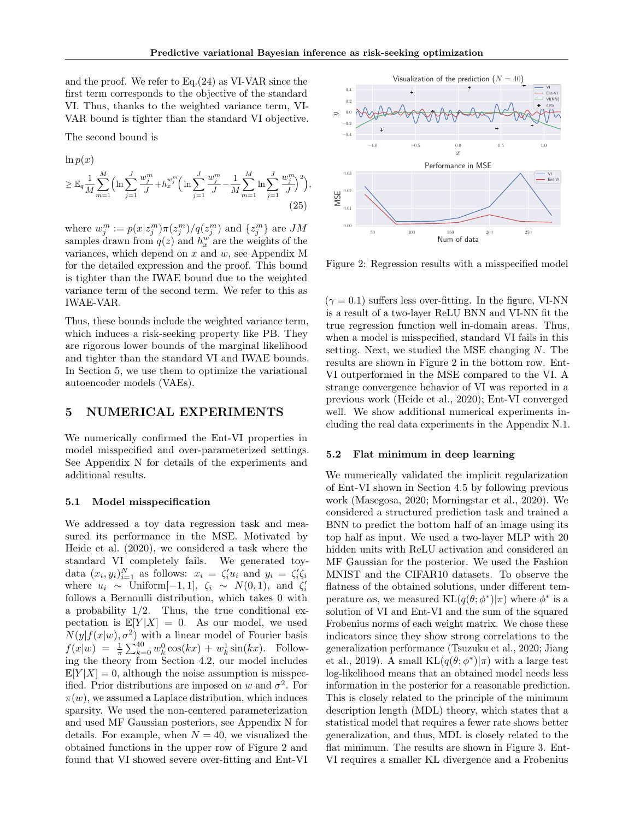and the proof. We refer to Eq.(24) as VI-VAR since the first term corresponds to the objective of the standard VI. Thus, thanks to the weighted variance term, VI-VAR bound is tighter than the standard VI objective.

The second bound is

$$
\ln p(x) \ge \mathbb{E}_q \frac{1}{M} \sum_{m=1}^{M} \left( \ln \sum_{j=1}^{J} \frac{w_j^m}{J} + h_x^{w_j^m} \left( \ln \sum_{j=1}^{J} \frac{w_j^m}{J} - \frac{1}{M} \sum_{m=1}^{M} \ln \sum_{j=1}^{J} \frac{w_j^m}{J} \right)^2 \right),
$$
\n(25)

where  $w_j^m := p(x|z_j^m)\pi(z_j^m)/q(z_j^m)$  and  $\{z_j^m\}$  are  $JM$ samples drawn from  $q(z)$  and  $h_x^w$  are the weights of the variances, which depend on  $x$  and  $w$ , see Appendix M for the detailed expression and the proof. This bound is tighter than the IWAE bound due to the weighted variance term of the second term. We refer to this as IWAE-VAR.

Thus, these bounds include the weighted variance term, which induces a risk-seeking property like PB. They are rigorous lower bounds of the marginal likelihood and tighter than the standard VI and IWAE bounds. In Section 5, we use them to optimize the variational autoencoder models (VAEs).

### 5 NUMERICAL EXPERIMENTS

We numerically confirmed the Ent-VI properties in model misspecified and over-parameterized settings. See Appendix N for details of the experiments and additional results.

#### 5.1 Model misspecification

We addressed a toy data regression task and measured its performance in the MSE. Motivated by Heide et al. (2020), we considered a task where the standard VI completely fails. We generated toydata  $(x_i, y_i)_{i=1}^N$  as follows:  $x_i = \zeta'_i u_i$  and  $y_i = \zeta'_i \zeta_i$ where  $u_i \sim$  Uniform[-1, 1],  $\zeta_i \sim N(0, 1)$ , and  $\zeta'_i$ follows a Bernoulli distribution, which takes 0 with a probability  $1/2$ . Thus, the true conditional expectation is  $\mathbb{E}[Y|X] = 0$ . As our model, we used  $N(y|f(x|w), \sigma^2)$  with a linear model of Fourier basis  $f(x|w) = \frac{1}{\pi} \sum_{k=0}^{40} w_k^0 \cos(kx) + w_k^1 \sin(kx)$ . Following the theory from Section 4.2, our model includes  $\mathbb{E}[Y|X] = 0$ , although the noise assumption is misspecified. Prior distributions are imposed on w and  $\sigma^2$ . For  $\pi(w)$ , we assumed a Laplace distribution, which induces sparsity. We used the non-centered parameterization and used MF Gaussian posteriors, see Appendix N for details. For example, when  $N = 40$ , we visualized the obtained functions in the upper row of Figure 2 and found that VI showed severe over-fitting and Ent-VI



Figure 2: Regression results with a misspecified model

 $(\gamma = 0.1)$  suffers less over-fitting. In the figure, VI-NN is a result of a two-layer ReLU BNN and VI-NN fit the true regression function well in-domain areas. Thus, when a model is misspecified, standard VI fails in this setting. Next, we studied the MSE changing N. The results are shown in Figure 2 in the bottom row. Ent-VI outperformed in the MSE compared to the VI. A strange convergence behavior of VI was reported in a previous work (Heide et al., 2020); Ent-VI converged well. We show additional numerical experiments including the real data experiments in the Appendix N.1.

### 5.2 Flat minimum in deep learning

We numerically validated the implicit regularization of Ent-VI shown in Section 4.5 by following previous work (Masegosa, 2020; Morningstar et al., 2020). We considered a structured prediction task and trained a BNN to predict the bottom half of an image using its top half as input. We used a two-layer MLP with 20 hidden units with ReLU activation and considered an MF Gaussian for the posterior. We used the Fashion MNIST and the CIFAR10 datasets. To observe the flatness of the obtained solutions, under different temperature  $\alpha$ s, we measured KL $(q(\theta; \phi^*)|\pi)$  where  $\phi^*$  is a solution of VI and Ent-VI and the sum of the squared Frobenius norms of each weight matrix. We chose these indicators since they show strong correlations to the generalization performance (Tsuzuku et al., 2020; Jiang et al., 2019). A small  $KL(q(\theta; \phi^*)|\pi)$  with a large test log-likelihood means that an obtained model needs less information in the posterior for a reasonable prediction. This is closely related to the principle of the minimum description length (MDL) theory, which states that a statistical model that requires a fewer rate shows better generalization, and thus, MDL is closely related to the flat minimum. The results are shown in Figure 3. Ent-VI requires a smaller KL divergence and a Frobenius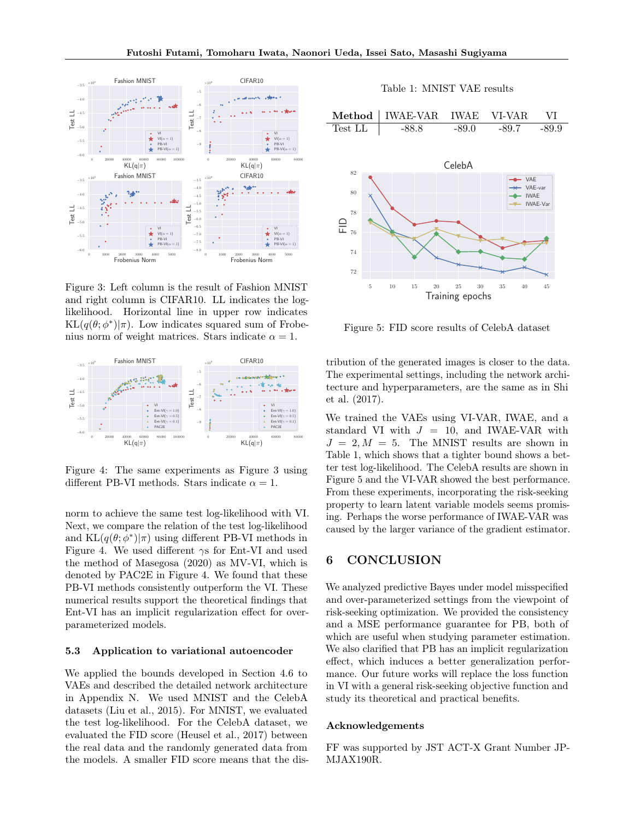

Figure 3: Left column is the result of Fashion MNIST and right column is CIFAR10. LL indicates the loglikelihood. Horizontal line in upper row indicates  $KL(q(\theta; \phi^*)|\pi)$ . Low indicates squared sum of Frobenius norm of weight matrices. Stars indicate  $\alpha = 1$ .



Figure 4: The same experiments as Figure 3 using different PB-VI methods. Stars indicate  $\alpha = 1$ .

norm to achieve the same test log-likelihood with VI. Next, we compare the relation of the test log-likelihood and  $KL(q(\theta; \phi^*)|\pi)$  using different PB-VI methods in Figure 4. We used different  $\gamma s$  for Ent-VI and used the method of Masegosa (2020) as MV-VI, which is denoted by PAC2E in Figure 4. We found that these PB-VI methods consistently outperform the VI. These numerical results support the theoretical findings that Ent-VI has an implicit regularization effect for overparameterized models.

#### 5.3 Application to variational autoencoder

We applied the bounds developed in Section 4.6 to VAEs and described the detailed network architecture in Appendix N. We used MNIST and the CelebA datasets (Liu et al., 2015). For MNIST, we evaluated the test log-likelihood. For the CelebA dataset, we evaluated the FID score (Heusel et al., 2017) between the real data and the randomly generated data from the models. A smaller FID score means that the dis-



Figure 5: FID score results of CelebA dataset

tribution of the generated images is closer to the data. The experimental settings, including the network architecture and hyperparameters, are the same as in Shi et al. (2017).

We trained the VAEs using VI-VAR, IWAE, and a standard VI with  $J = 10$ , and IWAE-VAR with  $J = 2, M = 5$ . The MNIST results are shown in Table 1, which shows that a tighter bound shows a better test log-likelihood. The CelebA results are shown in Figure 5 and the VI-VAR showed the best performance. From these experiments, incorporating the risk-seeking property to learn latent variable models seems promising. Perhaps the worse performance of IWAE-VAR was caused by the larger variance of the gradient estimator.

# 6 CONCLUSION

We analyzed predictive Bayes under model misspecified and over-parameterized settings from the viewpoint of risk-seeking optimization. We provided the consistency and a MSE performance guarantee for PB, both of which are useful when studying parameter estimation. We also clarified that PB has an implicit regularization effect, which induces a better generalization performance. Our future works will replace the loss function in VI with a general risk-seeking objective function and study its theoretical and practical benefits.

#### Acknowledgements

FF was supported by JST ACT-X Grant Number JP-MJAX190R.

#### Table 1: MNIST VAE results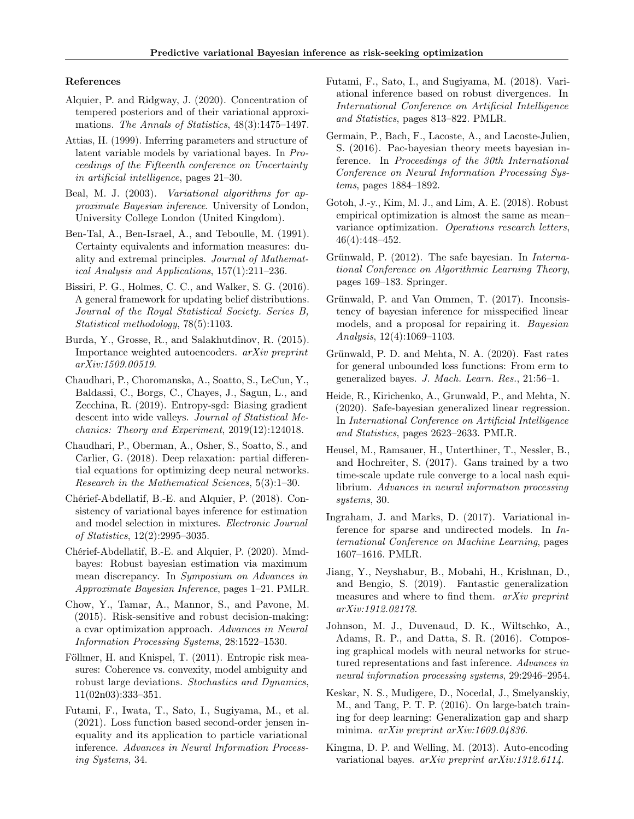#### References

- Alquier, P. and Ridgway, J. (2020). Concentration of tempered posteriors and of their variational approximations. The Annals of Statistics, 48(3):1475–1497.
- Attias, H. (1999). Inferring parameters and structure of latent variable models by variational bayes. In Proceedings of the Fifteenth conference on Uncertainty in artificial intelligence, pages 21–30.
- Beal, M. J. (2003). Variational algorithms for approximate Bayesian inference. University of London, University College London (United Kingdom).
- Ben-Tal, A., Ben-Israel, A., and Teboulle, M. (1991). Certainty equivalents and information measures: duality and extremal principles. Journal of Mathematical Analysis and Applications, 157(1):211–236.
- Bissiri, P. G., Holmes, C. C., and Walker, S. G. (2016). A general framework for updating belief distributions. Journal of the Royal Statistical Society. Series B, Statistical methodology, 78(5):1103.
- Burda, Y., Grosse, R., and Salakhutdinov, R. (2015). Importance weighted autoencoders. arXiv preprint arXiv:1509.00519.
- Chaudhari, P., Choromanska, A., Soatto, S., LeCun, Y., Baldassi, C., Borgs, C., Chayes, J., Sagun, L., and Zecchina, R. (2019). Entropy-sgd: Biasing gradient descent into wide valleys. Journal of Statistical Mechanics: Theory and Experiment, 2019(12):124018.
- Chaudhari, P., Oberman, A., Osher, S., Soatto, S., and Carlier, G. (2018). Deep relaxation: partial differential equations for optimizing deep neural networks. Research in the Mathematical Sciences, 5(3):1–30.
- Chérief-Abdellatif, B.-E. and Alquier, P. (2018). Consistency of variational bayes inference for estimation and model selection in mixtures. Electronic Journal of Statistics, 12(2):2995–3035.
- Chérief-Abdellatif, B.-E. and Alquier, P. (2020). Mmdbayes: Robust bayesian estimation via maximum mean discrepancy. In Symposium on Advances in Approximate Bayesian Inference, pages 1–21. PMLR.
- Chow, Y., Tamar, A., Mannor, S., and Pavone, M. (2015). Risk-sensitive and robust decision-making: a cvar optimization approach. Advances in Neural Information Processing Systems, 28:1522–1530.
- Föllmer, H. and Knispel, T. (2011). Entropic risk measures: Coherence vs. convexity, model ambiguity and robust large deviations. Stochastics and Dynamics, 11(02n03):333–351.
- Futami, F., Iwata, T., Sato, I., Sugiyama, M., et al. (2021). Loss function based second-order jensen inequality and its application to particle variational inference. Advances in Neural Information Processing Systems, 34.
- Futami, F., Sato, I., and Sugiyama, M. (2018). Variational inference based on robust divergences. In International Conference on Artificial Intelligence and Statistics, pages 813–822. PMLR.
- Germain, P., Bach, F., Lacoste, A., and Lacoste-Julien, S. (2016). Pac-bayesian theory meets bayesian inference. In Proceedings of the 30th International Conference on Neural Information Processing Systems, pages 1884–1892.
- Gotoh, J.-y., Kim, M. J., and Lim, A. E. (2018). Robust empirical optimization is almost the same as mean– variance optimization. Operations research letters, 46(4):448–452.
- Grünwald, P. (2012). The safe bayesian. In International Conference on Algorithmic Learning Theory, pages 169–183. Springer.
- Grünwald, P. and Van Ommen, T. (2017). Inconsistency of bayesian inference for misspecified linear models, and a proposal for repairing it. Bayesian Analysis, 12(4):1069–1103.
- Grünwald, P. D. and Mehta, N. A. (2020). Fast rates for general unbounded loss functions: From erm to generalized bayes. J. Mach. Learn. Res., 21:56–1.
- Heide, R., Kirichenko, A., Grunwald, P., and Mehta, N. (2020). Safe-bayesian generalized linear regression. In International Conference on Artificial Intelligence and Statistics, pages 2623–2633. PMLR.
- Heusel, M., Ramsauer, H., Unterthiner, T., Nessler, B., and Hochreiter, S. (2017). Gans trained by a two time-scale update rule converge to a local nash equilibrium. Advances in neural information processing systems, 30.
- Ingraham, J. and Marks, D. (2017). Variational inference for sparse and undirected models. In International Conference on Machine Learning, pages 1607–1616. PMLR.
- Jiang, Y., Neyshabur, B., Mobahi, H., Krishnan, D., and Bengio, S. (2019). Fantastic generalization measures and where to find them. arXiv preprint arXiv:1912.02178.
- Johnson, M. J., Duvenaud, D. K., Wiltschko, A., Adams, R. P., and Datta, S. R. (2016). Composing graphical models with neural networks for structured representations and fast inference. Advances in neural information processing systems, 29:2946–2954.
- Keskar, N. S., Mudigere, D., Nocedal, J., Smelyanskiy, M., and Tang, P. T. P. (2016). On large-batch training for deep learning: Generalization gap and sharp minima. arXiv preprint arXiv:1609.04836.
- Kingma, D. P. and Welling, M. (2013). Auto-encoding variational bayes. arXiv preprint arXiv:1312.6114.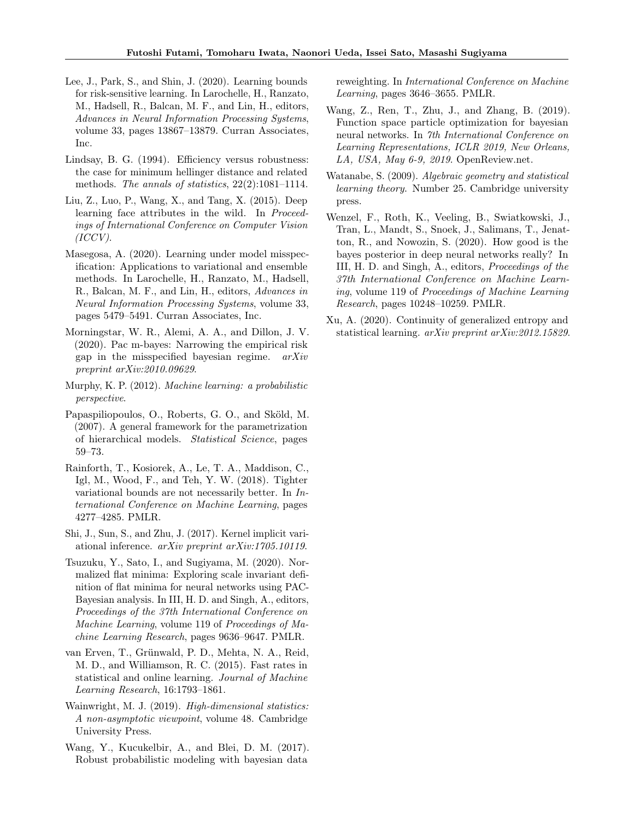- Lee, J., Park, S., and Shin, J. (2020). Learning bounds for risk-sensitive learning. In Larochelle, H., Ranzato, M., Hadsell, R., Balcan, M. F., and Lin, H., editors, Advances in Neural Information Processing Systems, volume 33, pages 13867–13879. Curran Associates, Inc.
- Lindsay, B. G. (1994). Efficiency versus robustness: the case for minimum hellinger distance and related methods. The annals of statistics, 22(2):1081–1114.
- Liu, Z., Luo, P., Wang, X., and Tang, X. (2015). Deep learning face attributes in the wild. In Proceedings of International Conference on Computer Vision  $(ICCV).$
- Masegosa, A. (2020). Learning under model misspecification: Applications to variational and ensemble methods. In Larochelle, H., Ranzato, M., Hadsell, R., Balcan, M. F., and Lin, H., editors, Advances in Neural Information Processing Systems, volume 33, pages 5479–5491. Curran Associates, Inc.
- Morningstar, W. R., Alemi, A. A., and Dillon, J. V. (2020). Pac m-bayes: Narrowing the empirical risk gap in the misspecified bayesian regime.  $arXiv$ preprint arXiv:2010.09629.
- Murphy, K. P. (2012). Machine learning: a probabilistic perspective.
- Papaspiliopoulos, O., Roberts, G. O., and Sköld, M. (2007). A general framework for the parametrization of hierarchical models. Statistical Science, pages 59–73.
- Rainforth, T., Kosiorek, A., Le, T. A., Maddison, C., Igl, M., Wood, F., and Teh, Y. W. (2018). Tighter variational bounds are not necessarily better. In International Conference on Machine Learning, pages 4277–4285. PMLR.
- Shi, J., Sun, S., and Zhu, J. (2017). Kernel implicit variational inference. arXiv preprint arXiv:1705.10119.
- Tsuzuku, Y., Sato, I., and Sugiyama, M. (2020). Normalized flat minima: Exploring scale invariant definition of flat minima for neural networks using PAC-Bayesian analysis. In III, H. D. and Singh, A., editors, Proceedings of the 37th International Conference on Machine Learning, volume 119 of Proceedings of Machine Learning Research, pages 9636–9647. PMLR.
- van Erven, T., Grünwald, P. D., Mehta, N. A., Reid, M. D., and Williamson, R. C. (2015). Fast rates in statistical and online learning. Journal of Machine Learning Research, 16:1793–1861.
- Wainwright, M. J. (2019). *High-dimensional statistics:* A non-asymptotic viewpoint, volume 48. Cambridge University Press.
- Wang, Y., Kucukelbir, A., and Blei, D. M. (2017). Robust probabilistic modeling with bayesian data

reweighting. In International Conference on Machine Learning, pages 3646–3655. PMLR.

- Wang, Z., Ren, T., Zhu, J., and Zhang, B. (2019). Function space particle optimization for bayesian neural networks. In 7th International Conference on Learning Representations, ICLR 2019, New Orleans, LA, USA, May 6-9, 2019. OpenReview.net.
- Watanabe, S. (2009). Algebraic geometry and statistical learning theory. Number 25. Cambridge university press.
- Wenzel, F., Roth, K., Veeling, B., Swiatkowski, J., Tran, L., Mandt, S., Snoek, J., Salimans, T., Jenatton, R., and Nowozin, S. (2020). How good is the bayes posterior in deep neural networks really? In III, H. D. and Singh, A., editors, Proceedings of the 37th International Conference on Machine Learning, volume 119 of Proceedings of Machine Learning Research, pages 10248–10259. PMLR.
- Xu, A. (2020). Continuity of generalized entropy and statistical learning. arXiv preprint arXiv:2012.15829.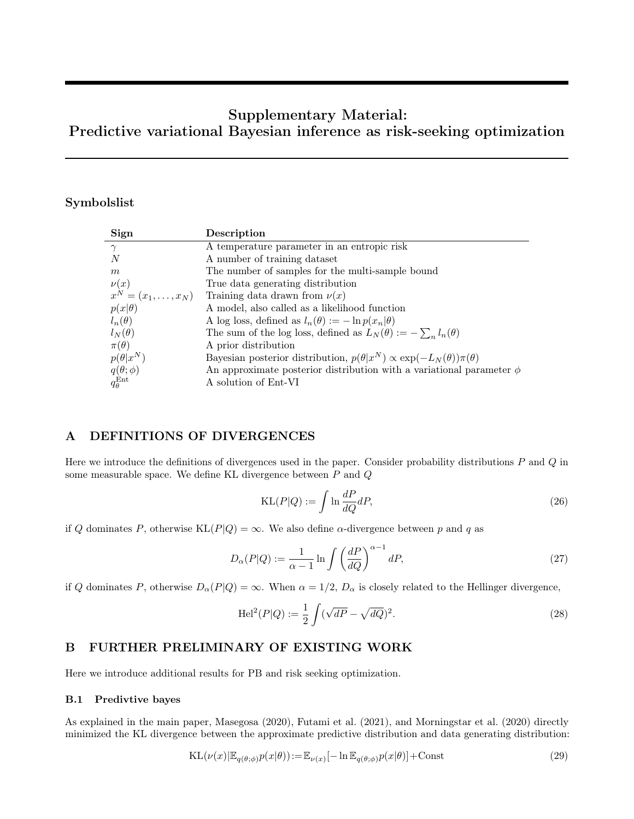# Supplementary Material: Predictive variational Bayesian inference as risk-seeking optimization

# Symbolslist

| Sign                      | Description                                                                                               |
|---------------------------|-----------------------------------------------------------------------------------------------------------|
| $\gamma$                  | A temperature parameter in an entropic risk                                                               |
| N                         | A number of training dataset                                                                              |
| m                         | The number of samples for the multi-sample bound                                                          |
|                           | True data generating distribution                                                                         |
|                           | $\nu(x)$ True data generating distribution<br>$x^N = (x_1, \dots, x_N)$ Training data drawn from $\nu(x)$ |
| $p(x \theta)$             | A model, also called as a likelihood function                                                             |
| $l_n(\theta)$             | A log loss, defined as $l_n(\theta) := -\ln p(x_n \theta)$                                                |
| $l_N(\theta)$             | The sum of the log loss, defined as $L_N(\theta) := -\sum_n l_n(\theta)$                                  |
| $\pi(\theta)$             | A prior distribution                                                                                      |
| $p(\theta x^N)$           | Bayesian posterior distribution, $p(\theta x^N) \propto \exp(-L_N(\theta))\pi(\theta)$                    |
| $q(\theta;\phi)$          | An approximate posterior distribution with a variational parameter $\phi$                                 |
| $q_{\theta}^{\text{Ent}}$ | A solution of Ent-VI                                                                                      |

# A DEFINITIONS OF DIVERGENCES

Here we introduce the definitions of divergences used in the paper. Consider probability distributions  $P$  and  $Q$  in some measurable space. We define KL divergence between P and Q

$$
KL(P|Q) := \int \ln \frac{dP}{dQ} dP,\tag{26}
$$

if Q dominates P, otherwise  $KL(P|Q) = \infty$ . We also define  $\alpha$ -divergence between p and q as

$$
D_{\alpha}(P|Q) := \frac{1}{\alpha - 1} \ln \int \left(\frac{dP}{dQ}\right)^{\alpha - 1} dP,
$$
\n(27)

if Q dominates P, otherwise  $D_{\alpha}(P|Q) = \infty$ . When  $\alpha = 1/2$ ,  $D_{\alpha}$  is closely related to the Hellinger divergence,

$$
\text{Hel}^{2}(P|Q) := \frac{1}{2} \int (\sqrt{dP} - \sqrt{dQ})^{2}.
$$
 (28)

# B FURTHER PRELIMINARY OF EXISTING WORK

Here we introduce additional results for PB and risk seeking optimization.

## B.1 Predivtive bayes

As explained in the main paper, Masegosa (2020), Futami et al. (2021), and Morningstar et al. (2020) directly minimized the KL divergence between the approximate predictive distribution and data generating distribution:

$$
KL(\nu(x)|\mathbb{E}_{q(\theta;\phi)}p(x|\theta)) := \mathbb{E}_{\nu(x)}[-\ln \mathbb{E}_{q(\theta;\phi)}p(x|\theta)] + \text{Const}
$$
\n(29)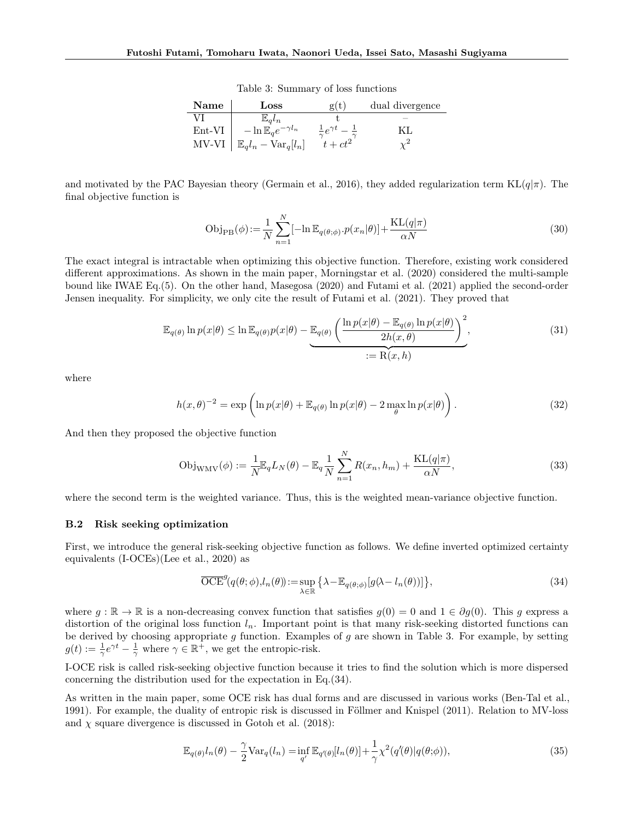Table 3: Summary of loss functions

| Name     | $_{\rm Loss}$                          | g(t)               | dual divergence |
|----------|----------------------------------------|--------------------|-----------------|
|          | $\mathbb{E}_a l_n$                     |                    |                 |
| $Ent-VI$ | $-\ln \mathbb{E}_a e^{-\gamma l_n}$    | $\pm e^{\gamma t}$ |                 |
| $MV-VI$  | $\mathbb{E}_q l_n - \text{Var}_q[l_n]$ | $t+ct^2$           |                 |

and motivated by the PAC Bayesian theory (Germain et al., 2016), they added regularization term  $KL(q|\pi)$ . The final objective function is

$$
Obj_{PB}(\phi) := \frac{1}{N} \sum_{n=1}^{N} [-\ln \mathbb{E}_{q(\theta; \phi)} \cdot p(x_n|\theta)] + \frac{KL(q|\pi)}{\alpha N}
$$
\n(30)

The exact integral is intractable when optimizing this objective function. Therefore, existing work considered different approximations. As shown in the main paper, Morningstar et al. (2020) considered the multi-sample bound like IWAE Eq.(5). On the other hand, Masegosa (2020) and Futami et al. (2021) applied the second-order Jensen inequality. For simplicity, we only cite the result of Futami et al. (2021). They proved that

$$
\mathbb{E}_{q(\theta)} \ln p(x|\theta) \le \ln \mathbb{E}_{q(\theta)} p(x|\theta) - \underbrace{\mathbb{E}_{q(\theta)} \left( \frac{\ln p(x|\theta) - \mathbb{E}_{q(\theta)} \ln p(x|\theta)}{2h(x, \theta)} \right)^2}_{:= \mathcal{R}(x, h)},
$$
\n(31)

where

$$
h(x,\theta)^{-2} = \exp\left(\ln p(x|\theta) + \mathbb{E}_{q(\theta)}\ln p(x|\theta) - 2\max_{\theta}\ln p(x|\theta)\right).
$$
 (32)

And then they proposed the objective function

$$
Obj_{WMV}(\phi) := \frac{1}{N} \mathbb{E}_q L_N(\theta) - \mathbb{E}_q \frac{1}{N} \sum_{n=1}^N R(x_n, h_m) + \frac{KL(q|\pi)}{\alpha N},
$$
\n(33)

where the second term is the weighted variance. Thus, this is the weighted mean-variance objective function.

#### B.2 Risk seeking optimization

First, we introduce the general risk-seeking objective function as follows. We define inverted optimized certainty equivalents (I-OCEs)(Lee et al., 2020) as

$$
\overline{\text{OCE}}^g(q(\theta; \phi), l_n(\theta)) := \sup_{\lambda \in \mathbb{R}} \left\{ \lambda - \mathbb{E}_{q(\theta; \phi)}[g(\lambda - l_n(\theta))] \right\},\tag{34}
$$

where  $g : \mathbb{R} \to \mathbb{R}$  is a non-decreasing convex function that satisfies  $g(0) = 0$  and  $1 \in \partial g(0)$ . This g express a distortion of the original loss function  $l_n$ . Important point is that many risk-seeking distorted functions can be derived by choosing appropriate  $g$  function. Examples of  $g$  are shown in Table 3. For example, by setting  $g(t) := \frac{1}{\gamma} e^{\gamma t} - \frac{1}{\gamma}$  where  $\gamma \in \mathbb{R}^+$ , we get the entropic-risk.

I-OCE risk is called risk-seeking objective function because it tries to find the solution which is more dispersed concerning the distribution used for the expectation in Eq.(34).

As written in the main paper, some OCE risk has dual forms and are discussed in various works (Ben-Tal et al., 1991). For example, the duality of entropic risk is discussed in Föllmer and Knispel (2011). Relation to MV-loss and  $\chi$  square divergence is discussed in Gotoh et al. (2018):

$$
\mathbb{E}_{q(\theta)}l_n(\theta) - \frac{\gamma}{2} \text{Var}_q(l_n) = \inf_{q'} \mathbb{E}_{q'(\theta)}[l_n(\theta)] + \frac{1}{\gamma} \chi^2(q'(\theta)|q(\theta;\phi)),\tag{35}
$$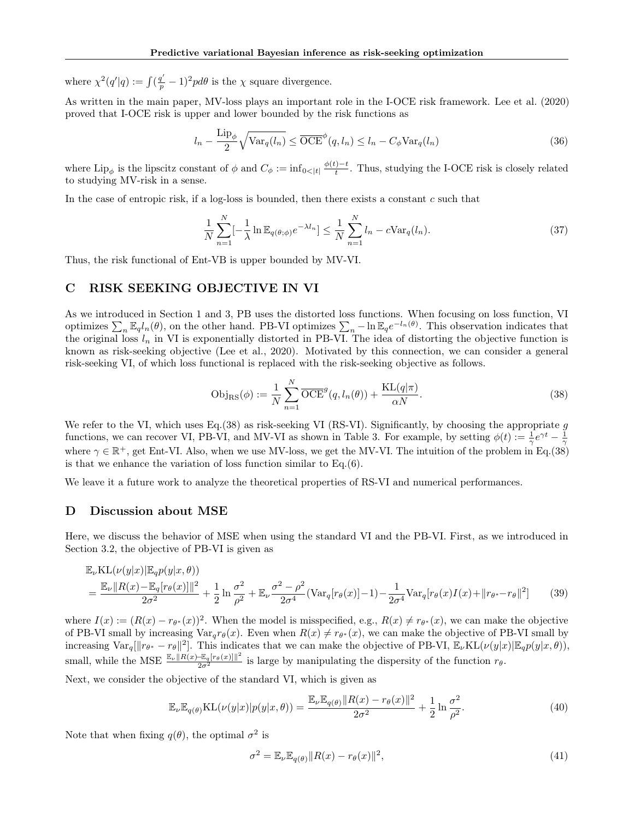where  $\chi^2(q'|q) := \int (\frac{q'}{p} - 1)^2 pd\theta$  is the  $\chi$  square divergence.

As written in the main paper, MV-loss plays an important role in the I-OCE risk framework. Lee et al. (2020) proved that I-OCE risk is upper and lower bounded by the risk functions as

$$
l_n - \frac{\text{Lip}_{\phi}}{2} \sqrt{\text{Var}_q(l_n)} \leq \overline{\text{OCE}}^{\phi}(q, l_n) \leq l_n - C_{\phi} \text{Var}_q(l_n)
$$
\n(36)

where  $\text{Lip}_{\phi}$  is the lipscitz constant of  $\phi$  and  $C_{\phi} := \inf_{0 \leq |t|} \frac{\phi(t) - t}{t}$  $t_t^{\frac{1}{t}}$ . Thus, studying the I-OCE risk is closely related to studying MV-risk in a sense.

In the case of entropic risk, if a log-loss is bounded, then there exists a constant  $c$  such that

$$
\frac{1}{N} \sum_{n=1}^{N} \left[-\frac{1}{\lambda} \ln \mathbb{E}_{q(\theta; \phi)} e^{-\lambda l_n}\right] \le \frac{1}{N} \sum_{n=1}^{N} l_n - c \text{Var}_q(l_n). \tag{37}
$$

Thus, the risk functional of Ent-VB is upper bounded by MV-VI.

### C RISK SEEKING OBJECTIVE IN VI

As we introduced in Section 1 and 3, PB uses the distorted loss functions. When focusing on loss function, VI optimizes  $\sum_n \mathbb{E}_q l_n(\theta)$ , on the other hand. PB-VI optimizes  $\sum_n -\ln \mathbb{E}_q e^{-l_n(\theta)}$ . This observation indicates that the original loss  $l_n$  in VI is exponentially distorted in PB-VI. The idea of distorting the objective function is known as risk-seeking objective (Lee et al., 2020). Motivated by this connection, we can consider a general risk-seeking VI, of which loss functional is replaced with the risk-seeking objective as follows.

$$
Obj_{RS}(\phi) := \frac{1}{N} \sum_{n=1}^{N} \overline{OCE}^{g}(q, l_n(\theta)) + \frac{KL(q|\pi)}{\alpha N}.
$$
\n(38)

We refer to the VI, which uses Eq.(38) as risk-seeking VI (RS-VI). Significantly, by choosing the appropriate  $g$ functions, we can recover VI, PB-VI, and MV-VI as shown in Table 3. For example, by setting  $\phi(t) := \frac{1}{\gamma}e^{\gamma t} - \frac{1}{\gamma}$ where  $\gamma \in \mathbb{R}^+$ , get Ent-VI. Also, when we use MV-loss, we get the MV-VI. The intuition of the problem in Eq.(38) is that we enhance the variation of loss function similar to Eq.(6).

We leave it a future work to analyze the theoretical properties of RS-VI and numerical performances.

### D Discussion about MSE

Here, we discuss the behavior of MSE when using the standard VI and the PB-VI. First, as we introduced in Section 3.2, the objective of PB-VI is given as

$$
\mathbb{E}_{\nu} \text{KL}(\nu(y|x)|\mathbb{E}_{q}p(y|x,\theta))
$$
\n
$$
= \frac{\mathbb{E}_{\nu}||R(x) - \mathbb{E}_{q}[r_{\theta}(x)]||^{2}}{2\sigma^{2}} + \frac{1}{2}\ln\frac{\sigma^{2}}{\rho^{2}} + \mathbb{E}_{\nu}\frac{\sigma^{2} - \rho^{2}}{2\sigma^{4}}(\text{Var}_{q}[r_{\theta}(x)] - 1) - \frac{1}{2\sigma^{4}}\text{Var}_{q}[r_{\theta}(x)I(x) + ||r_{\theta^{*}} - r_{\theta}||^{2}] \tag{39}
$$

where  $I(x) := (R(x) - r_{\theta^*}(x))^2$ . When the model is misspecified, e.g.,  $R(x) \neq r_{\theta^*}(x)$ , we can make the objective of PB-VI small by increasing  $Var_q r_\theta(x)$ . Even when  $R(x) \neq r_{\theta^*}(x)$ , we can make the objective of PB-VI small by increasing  $\text{Var}_q[\Vert r_{\theta^*} - r_{\theta} \Vert^2]$ . This indicates that we can make the objective of PB-VI,  $\mathbb{E}_{\nu} \text{KL}(\nu(y|x) | \mathbb{E}_{q} p(y|x, \theta)),$ small, while the MSE  $\frac{\mathbb{E}_{\nu} \|R(x) - \mathbb{E}_{q}[r_{\theta}(x)]\|^2}{2\sigma^2}$  is large by manipulating the dispersity of the function  $r_{\theta}$ .

Next, we consider the objective of the standard VI, which is given as

$$
\mathbb{E}_{\nu}\mathbb{E}_{q(\theta)}\text{KL}(\nu(y|x)|p(y|x,\theta)) = \frac{\mathbb{E}_{\nu}\mathbb{E}_{q(\theta)}\|R(x) - r_{\theta}(x)\|^2}{2\sigma^2} + \frac{1}{2}\ln\frac{\sigma^2}{\rho^2}.
$$
\n(40)

Note that when fixing  $q(\theta)$ , the optimal  $\sigma^2$  is

$$
\sigma^2 = \mathbb{E}_{\nu} \mathbb{E}_{q(\theta)} ||R(x) - r_{\theta}(x)||^2,
$$
\n(41)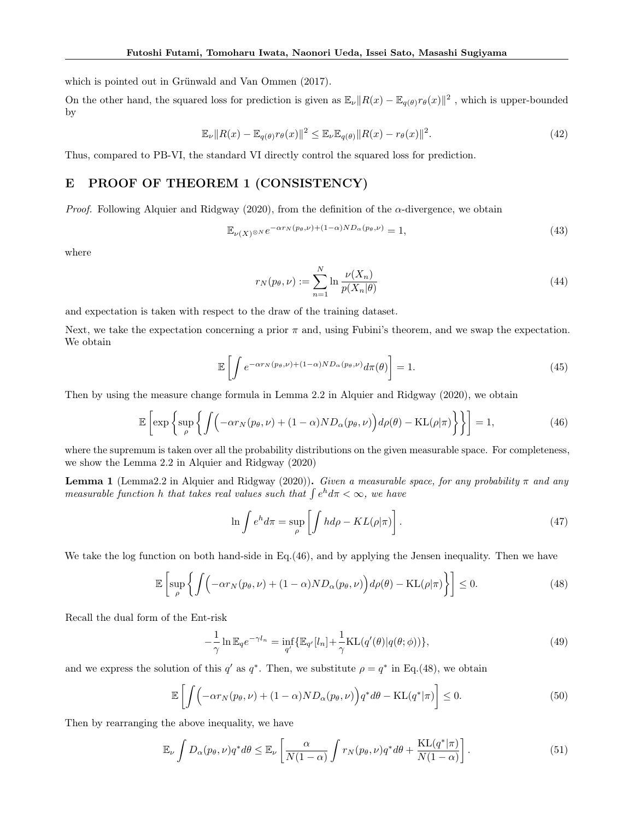which is pointed out in Grünwald and Van Ommen (2017).

On the other hand, the squared loss for prediction is given as  $\mathbb{E}_{\nu} ||R(x) - \mathbb{E}_{q(\theta)} r_{\theta}(x)||^2$ , which is upper-bounded by

$$
\mathbb{E}_{\nu} \|R(x) - \mathbb{E}_{q(\theta)} r_{\theta}(x)\|^2 \le \mathbb{E}_{\nu} \mathbb{E}_{q(\theta)} \|R(x) - r_{\theta}(x)\|^2.
$$
\n(42)

Thus, compared to PB-VI, the standard VI directly control the squared loss for prediction.

# E PROOF OF THEOREM 1 (CONSISTENCY)

*Proof.* Following Alquier and Ridgway (2020), from the definition of the  $\alpha$ -divergence, we obtain

$$
\mathbb{E}_{\nu(X)^{\otimes N}} e^{-\alpha r_N(p_\theta, \nu) + (1-\alpha)ND_\alpha(p_\theta, \nu)} = 1,
$$
\n(43)

where

$$
r_N(p_\theta, \nu) := \sum_{n=1}^N \ln \frac{\nu(X_n)}{p(X_n|\theta)}\tag{44}
$$

and expectation is taken with respect to the draw of the training dataset.

Next, we take the expectation concerning a prior  $\pi$  and, using Fubini's theorem, and we swap the expectation. We obtain

$$
\mathbb{E}\left[\int e^{-\alpha r_N(p_\theta,\nu)+(1-\alpha)ND_\alpha(p_\theta,\nu)}d\pi(\theta)\right]=1.
$$
\n(45)

Then by using the measure change formula in Lemma 2.2 in Alquier and Ridgway (2020), we obtain

$$
\mathbb{E}\left[\exp\left\{\sup_{\rho}\left\{\int\left(-\alpha r_N(p_\theta,\nu)+(1-\alpha)ND_\alpha(p_\theta,\nu)\right)d\rho(\theta)-\mathrm{KL}(\rho|\pi)\right\}\right\}\right]=1,\tag{46}
$$

where the supremum is taken over all the probability distributions on the given measurable space. For completeness, we show the Lemma 2.2 in Alquier and Ridgway (2020)

**Lemma 1** (Lemma2.2 in Alquier and Ridgway (2020)). Given a measurable space, for any probability  $\pi$  and any measurable function h that takes real values such that  $\int e^h d\pi < \infty$ , we have

$$
\ln \int e^{h} d\pi = \sup_{\rho} \left[ \int h d\rho - KL(\rho|\pi) \right]. \tag{47}
$$

We take the log function on both hand-side in Eq.(46), and by applying the Jensen inequality. Then we have

$$
\mathbb{E}\left[\sup_{\rho}\left\{\int\left(-\alpha r_N(p_\theta,\nu)+(1-\alpha)ND_\alpha(p_\theta,\nu)\right)d\rho(\theta)-\mathrm{KL}(\rho|\pi)\right\}\right]\leq 0.\tag{48}
$$

Recall the dual form of the Ent-risk

$$
-\frac{1}{\gamma}\ln \mathbb{E}_q e^{-\gamma l_n} = \inf_{q'} \{ \mathbb{E}_{q'}[l_n] + \frac{1}{\gamma} \text{KL}(q'(\theta)|q(\theta;\phi)) \},\tag{49}
$$

and we express the solution of this  $q'$  as  $q^*$ . Then, we substitute  $\rho = q^*$  in Eq.(48), we obtain

$$
\mathbb{E}\left[\int \left(-\alpha r_N(p_\theta,\nu) + (1-\alpha)ND_\alpha(p_\theta,\nu)\right)q^*d\theta - \text{KL}(q^*|\pi)\right] \le 0. \tag{50}
$$

Then by rearranging the above inequality, we have

$$
\mathbb{E}_{\nu} \int D_{\alpha}(p_{\theta}, \nu) q^* d\theta \leq \mathbb{E}_{\nu} \left[ \frac{\alpha}{N(1-\alpha)} \int r_N(p_{\theta}, \nu) q^* d\theta + \frac{\mathrm{KL}(q^*|\pi)}{N(1-\alpha)} \right]. \tag{51}
$$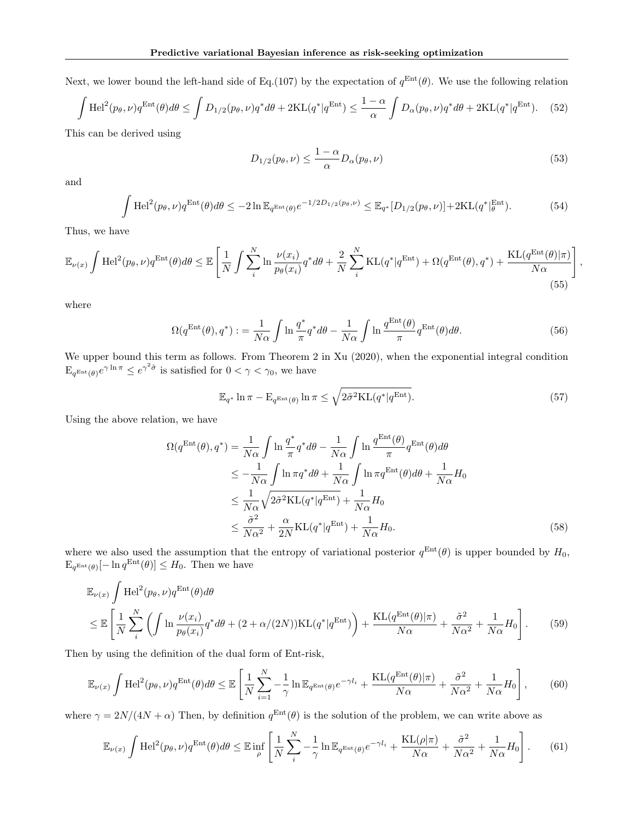Next, we lower bound the left-hand side of Eq.(107) by the expectation of  $q^{\text{Ent}}(\theta)$ . We use the following relation

$$
\int \mathrm{Hel}^2(p_\theta, \nu) q^{\mathrm{Ent}}(\theta) d\theta \le \int D_{1/2}(p_\theta, \nu) q^* d\theta + 2\mathrm{KL}(q^* | q^{\mathrm{Ent}}) \le \frac{1-\alpha}{\alpha} \int D_{\alpha}(p_\theta, \nu) q^* d\theta + 2\mathrm{KL}(q^* | q^{\mathrm{Ent}}). \tag{52}
$$

This can be derived using

$$
D_{1/2}(p_{\theta},\nu) \le \frac{1-\alpha}{\alpha} D_{\alpha}(p_{\theta},\nu) \tag{53}
$$

,

and

$$
\int \mathrm{Hel}^2(p_\theta, \nu) q^{\mathrm{Ent}}(\theta) d\theta \le -2 \ln \mathbb{E}_{q^{\mathrm{Ent}}(\theta)} e^{-1/2D_{1/2}(p_\theta, \nu)} \le \mathbb{E}_{q^*}[D_{1/2}(p_\theta, \nu)] + 2\mathrm{KL}(q^*|_{\theta}^{\mathrm{Ent}}). \tag{54}
$$

Thus, we have

$$
\mathbb{E}_{\nu(x)} \int \mathrm{Hel}^2(p_\theta, \nu) q^{\mathrm{Ent}}(\theta) d\theta \le \mathbb{E} \left[ \frac{1}{N} \int \sum_i^N \ln \frac{\nu(x_i)}{p_\theta(x_i)} q^* d\theta + \frac{2}{N} \sum_i^N \mathrm{KL}(q^* | q^{\mathrm{Ent}}) + \Omega(q^{\mathrm{Ent}}(\theta), q^*) + \frac{\mathrm{KL}(q^{\mathrm{Ent}}(\theta) | \pi)}{N\alpha} \right]
$$
(55)

where

$$
\Omega(q^{\text{Ent}}(\theta), q^*) := \frac{1}{N\alpha} \int \ln \frac{q^*}{\pi} q^* d\theta - \frac{1}{N\alpha} \int \ln \frac{q^{\text{Ent}}(\theta)}{\pi} q^{\text{Ent}}(\theta) d\theta. \tag{56}
$$

We upper bound this term as follows. From Theorem 2 in Xu (2020), when the exponential integral condition  $E_{q^{\text{Ent}}(\theta)}e^{\gamma \ln \pi} \leq e^{\gamma^2 \tilde{\sigma}}$  is satisfied for  $0 < \gamma < \gamma_0$ , we have

$$
\mathbb{E}_{q^*} \ln \pi - \mathbb{E}_{q^{\text{Ent}}(\theta)} \ln \pi \le \sqrt{2\tilde{\sigma}^2 \text{KL}(q^* | q^{\text{Ent}})}.
$$
\n(57)

Using the above relation, we have

$$
\Omega(q^{\text{Ent}}(\theta), q^*) = \frac{1}{N\alpha} \int \ln \frac{q^*}{\pi} q^* d\theta - \frac{1}{N\alpha} \int \ln \frac{q^{\text{Ent}}(\theta)}{\pi} q^{\text{Ent}}(\theta) d\theta
$$
  
\n
$$
\leq -\frac{1}{N\alpha} \int \ln \pi q^* d\theta + \frac{1}{N\alpha} \int \ln \pi q^{\text{Ent}}(\theta) d\theta + \frac{1}{N\alpha} H_0
$$
  
\n
$$
\leq \frac{1}{N\alpha} \sqrt{2\tilde{\sigma}^2 \text{KL}(q^*|q^{\text{Ent}})} + \frac{1}{N\alpha} H_0
$$
  
\n
$$
\leq \frac{\tilde{\sigma}^2}{N\alpha^2} + \frac{\alpha}{2N} \text{KL}(q^*|q^{\text{Ent}}) + \frac{1}{N\alpha} H_0.
$$
\n(58)

where we also used the assumption that the entropy of variational posterior  $q^{\text{Ent}}(\theta)$  is upper bounded by  $H_0$ ,  $\mathbb{E}_{q^{\text{Ent}}(\theta)}[-\ln q^{\text{Ent}}(\theta)] \leq H_0$ . Then we have

$$
\mathbb{E}_{\nu(x)} \int \text{Hel}^{2}(p_{\theta}, \nu) q^{\text{Ent}}(\theta) d\theta
$$
\n
$$
\leq \mathbb{E} \left[ \frac{1}{N} \sum_{i}^{N} \left( \int \ln \frac{\nu(x_{i})}{p_{\theta}(x_{i})} q^{*} d\theta + (2 + \alpha/(2N)) \text{KL}(q^{*}|q^{\text{Ent}}) \right) + \frac{\text{KL}(q^{\text{Ent}}(\theta)|\pi)}{N\alpha} + \frac{\tilde{\sigma}^{2}}{N\alpha^{2}} + \frac{1}{N\alpha} H_{0} \right].
$$
\n(59)

Then by using the definition of the dual form of Ent-risk,

$$
\mathbb{E}_{\nu(x)} \int \mathrm{Hel}^2(p_\theta, \nu) q^{\mathrm{Ent}}(\theta) d\theta \le \mathbb{E} \left[ \frac{1}{N} \sum_{i=1}^N -\frac{1}{\gamma} \ln \mathbb{E}_{q^{\mathrm{Ent}}(\theta)} e^{-\gamma l_i} + \frac{\mathrm{KL}(q^{\mathrm{Ent}}(\theta) | \pi)}{N \alpha} + \frac{\tilde{\sigma}^2}{N \alpha^2} + \frac{1}{N \alpha} H_0 \right],\tag{60}
$$

where  $\gamma = 2N/(4N + \alpha)$  Then, by definition  $q^{\text{Ent}}(\theta)$  is the solution of the problem, we can write above as

$$
\mathbb{E}_{\nu(x)} \int \mathrm{Hel}^2(p_\theta, \nu) q^{\mathrm{Ent}}(\theta) d\theta \le \mathbb{E} \inf_{\rho} \left[ \frac{1}{N} \sum_{i}^{N} -\frac{1}{\gamma} \ln \mathbb{E}_{q^{\mathrm{Ent}}(\theta)} e^{-\gamma l_i} + \frac{\mathrm{KL}(\rho|\pi)}{N\alpha} + \frac{\tilde{\sigma}^2}{N\alpha^2} + \frac{1}{N\alpha} H_0 \right].
$$
 (61)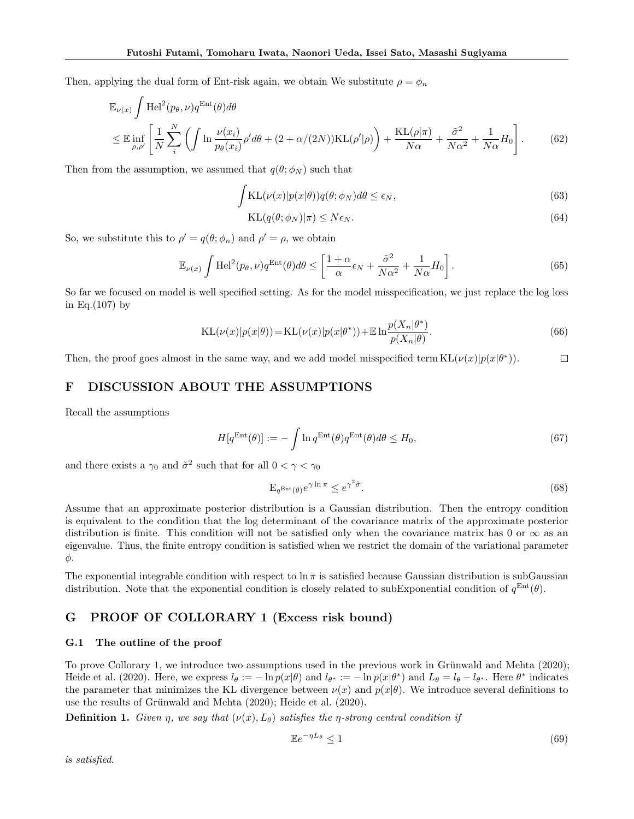Then, applying the dual form of Ent-risk again, we obtain We substitute  $\rho = \phi_n$ 

$$
\mathbb{E}_{\nu(x)} \int \text{Hel}^2(p_\theta, \nu) q^{\text{Ent}}(\theta) d\theta
$$
\n
$$
\leq \mathbb{E} \inf_{\rho, \rho'} \left[ \frac{1}{N} \sum_{i}^{N} \left( \int \ln \frac{\nu(x_i)}{p_\theta(x_i)} \rho' d\theta + (2 + \alpha/(2N)) \text{KL}(\rho'|\rho) \right) + \frac{\text{KL}(\rho|\pi)}{N\alpha} + \frac{\tilde{\sigma}^2}{N\alpha^2} + \frac{1}{N\alpha} H_0 \right].
$$
\n(62)

Then from the assumption, we assumed that  $q(\theta; \phi_N)$  such that

$$
\int \mathrm{KL}(\nu(x)|p(x|\theta))q(\theta;\phi_N)d\theta \le \epsilon_N,\tag{63}
$$

$$
KL(q(\theta; \phi_N)|\pi) \le N\epsilon_N. \tag{64}
$$

So, we substitute this to  $\rho' = q(\theta; \phi_n)$  and  $\rho' = \rho$ , we obtain

$$
\mathbb{E}_{\nu(x)} \int \mathrm{Hel}^2(p_\theta, \nu) q^{\mathrm{Ent}}(\theta) d\theta \le \left[ \frac{1+\alpha}{\alpha} \epsilon_N + \frac{\tilde{\sigma}^2}{N\alpha^2} + \frac{1}{N\alpha} H_0 \right]. \tag{65}
$$

So far we focused on model is well specified setting. As for the model misspecification, we just replace the log loss in Eq. $(107)$  by

$$
KL(\nu(x)|p(x|\theta)) = KL(\nu(x)|p(x|\theta^*)) + E \ln \frac{p(X_n|\theta^*)}{p(X_n|\theta)}.
$$
\n(66)

Then, the proof goes almost in the same way, and we add model misspecified term  $KL(\nu(x)|p(x|\theta^*))$ .  $\Box$ 

# F DISCUSSION ABOUT THE ASSUMPTIONS

Recall the assumptions

$$
H[q^{\text{Ent}}(\theta)] := -\int \ln q^{\text{Ent}}(\theta) q^{\text{Ent}}(\theta) d\theta \le H_0,
$$
\n(67)

and there exists a  $\gamma_0$  and  $\tilde{\sigma}^2$  such that for all  $0 < \gamma < \gamma_0$ 

$$
E_{q^{Ent}(\theta)}e^{\gamma \ln \pi} \le e^{\gamma^2 \tilde{\sigma}}.
$$
\n(68)

Assume that an approximate posterior distribution is a Gaussian distribution. Then the entropy condition is equivalent to the condition that the log determinant of the covariance matrix of the approximate posterior distribution is finite. This condition will not be satisfied only when the covariance matrix has 0 or  $\infty$  as an eigenvalue. Thus, the finite entropy condition is satisfied when we restrict the domain of the variational parameter φ.

The exponential integrable condition with respect to  $\ln \pi$  is satisfied because Gaussian distribution is subGaussian distribution. Note that the exponential condition is closely related to subExponential condition of  $q^{\text{Ent}}(\theta)$ .

# G PROOF OF COLLORARY 1 (Excess risk bound)

### G.1 The outline of the proof

To prove Collorary 1, we introduce two assumptions used in the previous work in Grünwald and Mehta (2020); Heide et al. (2020). Here, we express  $l_{\theta} := -\ln p(x|\theta)$  and  $l_{\theta^*} := -\ln p(x|\theta^*)$  and  $L_{\theta} = l_{\theta} - l_{\theta^*}$ . Here  $\theta^*$  indicates the parameter that minimizes the KL divergence between  $\nu(x)$  and  $p(x|\theta)$ . We introduce several definitions to use the results of Grünwald and Mehta (2020); Heide et al. (2020).

**Definition 1.** Given  $\eta$ , we say that  $(\nu(x), L_\theta)$  satisfies the *η*-strong central condition if

$$
\mathbb{E}e^{-\eta L_{\theta}} \le 1\tag{69}
$$

is satisfied.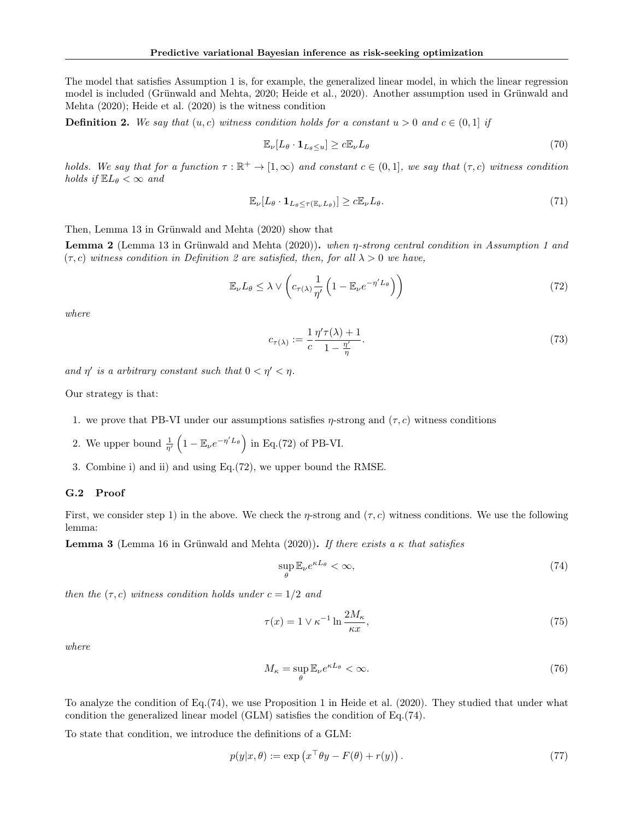The model that satisfies Assumption 1 is, for example, the generalized linear model, in which the linear regression model is included (Grünwald and Mehta, 2020; Heide et al., 2020). Another assumption used in Grünwald and Mehta (2020); Heide et al. (2020) is the witness condition

**Definition 2.** We say that  $(u, c)$  witness condition holds for a constant  $u > 0$  and  $c \in (0, 1]$  if

$$
\mathbb{E}_{\nu}[L_{\theta} \cdot \mathbf{1}_{L_{\theta} \le u}] \ge c \mathbb{E}_{\nu} L_{\theta} \tag{70}
$$

holds. We say that for a function  $\tau : \mathbb{R}^+ \to [1, \infty)$  and constant  $c \in (0, 1]$ , we say that  $(\tau, c)$  witness condition holds if  $\mathbb{E}L_{\theta}<\infty$  and

$$
\mathbb{E}_{\nu}[L_{\theta} \cdot \mathbf{1}_{L_{\theta} \le \tau(\mathbb{E}_{\nu}L_{\theta})}] \ge c\mathbb{E}_{\nu}L_{\theta}.
$$
\n(71)

Then, Lemma 13 in Grünwald and Mehta (2020) show that

Lemma 2 (Lemma 13 in Grünwald and Mehta (2020)). when η-strong central condition in Assumption 1 and  $(\tau, c)$  witness condition in Definition 2 are satisfied, then, for all  $\lambda > 0$  we have,

$$
\mathbb{E}_{\nu} L_{\theta} \leq \lambda \vee \left( c_{\tau(\lambda)} \frac{1}{\eta'} \left( 1 - \mathbb{E}_{\nu} e^{-\eta' L_{\theta}} \right) \right) \tag{72}
$$

where

$$
c_{\tau(\lambda)} := \frac{1}{c} \frac{\eta' \tau(\lambda) + 1}{1 - \frac{\eta'}{\eta}}.
$$
\n(73)

and  $\eta'$  is a arbitrary constant such that  $0 < \eta' < \eta$ .

Our strategy is that:

- 1. we prove that PB-VI under our assumptions satisfies  $\eta$ -strong and  $(\tau, c)$  witness conditions
- 2. We upper bound  $\frac{1}{\eta'}\left(1 \mathbb{E}_{\nu}e^{-\eta' L_{\theta}}\right)$  in Eq.(72) of PB-VI.
- 3. Combine i) and ii) and using Eq.(72), we upper bound the RMSE.

#### G.2 Proof

First, we consider step 1) in the above. We check the *η*-strong and  $(\tau, c)$  witness conditions. We use the following lemma:

**Lemma 3** (Lemma 16 in Grünwald and Mehta (2020)). If there exists a  $\kappa$  that satisfies

$$
\sup_{\theta} \mathbb{E}_{\nu} e^{\kappa L_{\theta}} < \infty,\tag{74}
$$

then the  $(\tau, c)$  witness condition holds under  $c = 1/2$  and

$$
\tau(x) = 1 \vee \kappa^{-1} \ln \frac{2M_{\kappa}}{\kappa x},\tag{75}
$$

where

$$
M_{\kappa} = \sup_{\theta} \mathbb{E}_{\nu} e^{\kappa L_{\theta}} < \infty.
$$
 (76)

To analyze the condition of Eq.(74), we use Proposition 1 in Heide et al. (2020). They studied that under what condition the generalized linear model (GLM) satisfies the condition of Eq.(74).

To state that condition, we introduce the definitions of a GLM:

$$
p(y|x,\theta) := \exp(x^{\top}\theta y - F(\theta) + r(y)).
$$
\n(77)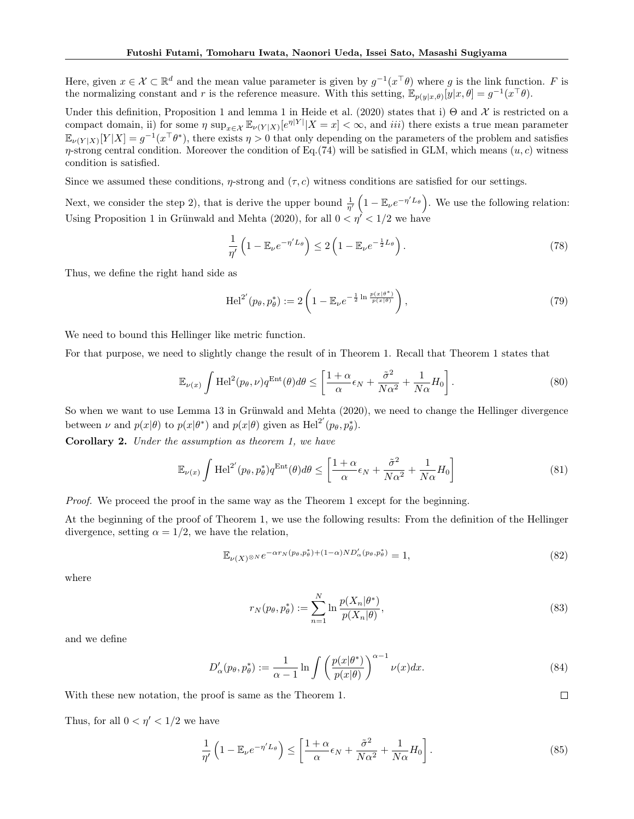Here, given  $x \in \mathcal{X} \subset \mathbb{R}^d$  and the mean value parameter is given by  $g^{-1}(x^\top \theta)$  where g is the link function. F is the normalizing constant and r is the reference measure. With this setting,  $\mathbb{E}_{p(y|x,\theta)}[y|x,\theta] = g^{-1}(x^{\top}\theta)$ .

Under this definition, Proposition 1 and lemma 1 in Heide et al. (2020) states that i)  $\Theta$  and  $\mathcal X$  is restricted on a compact domain, ii) for some  $\eta \sup_{x \in \mathcal{X}} \mathbb{E}_{\nu(Y|X)}[e^{\eta|Y|} | X = x] < \infty$ , and *iii*) there exists a true mean parameter  $\mathbb{E}_{\nu(Y|X)}[Y|X] = g^{-1}(x^{\top}\theta^*)$ , there exists  $\eta > 0$  that only depending on the parameters of the problem and satisfies  $\eta$ -strong central condition. Moreover the condition of Eq.(74) will be satisfied in GLM, which means  $(u, c)$  witness condition is satisfied.

Since we assumed these conditions,  $\eta$ -strong and  $(\tau, c)$  witness conditions are satisfied for our settings.

Next, we consider the step 2), that is derive the upper bound  $\frac{1}{\eta'}\left(1 - \mathbb{E}_{\nu}e^{-\eta' L_{\theta}}\right)$ . We use the following relation: Using Proposition 1 in Grünwald and Mehta (2020), for all  $0 < \eta' < 1/2$  we have

$$
\frac{1}{\eta'}\left(1 - \mathbb{E}_{\nu}e^{-\eta' L_{\theta}}\right) \le 2\left(1 - \mathbb{E}_{\nu}e^{-\frac{1}{2}L_{\theta}}\right). \tag{78}
$$

Thus, we define the right hand side as

$$
\operatorname{Hel}^{2'}(p_{\theta}, p_{\theta}^{*}) := 2\left(1 - \mathbb{E}_{\nu} e^{-\frac{1}{2}\ln\frac{p(x|\theta^{*})}{p(x|\theta)}}\right),\tag{79}
$$

We need to bound this Hellinger like metric function.

For that purpose, we need to slightly change the result of in Theorem 1. Recall that Theorem 1 states that

$$
\mathbb{E}_{\nu(x)} \int \mathrm{Hel}^2(p_\theta, \nu) q^{\mathrm{Ent}}(\theta) d\theta \le \left[ \frac{1+\alpha}{\alpha} \epsilon_N + \frac{\tilde{\sigma}^2}{N\alpha^2} + \frac{1}{N\alpha} H_0 \right]. \tag{80}
$$

So when we want to use Lemma 13 in Grünwald and Mehta (2020), we need to change the Hellinger divergence between  $\nu$  and  $p(x|\theta)$  to  $p(x|\theta^*)$  and  $p(x|\theta)$  given as  $\text{Hel}^{2'}(p_\theta, p_\theta^*)$ .

Corollary 2. Under the assumption as theorem 1, we have

$$
\mathbb{E}_{\nu(x)} \int \mathrm{Hel}^{2'}(p_{\theta}, p_{\theta}^{*}) q^{\mathrm{Ent}}(\theta) d\theta \le \left[ \frac{1+\alpha}{\alpha} \epsilon_N + \frac{\tilde{\sigma}^2}{N\alpha^2} + \frac{1}{N\alpha} H_0 \right]
$$
(81)

Proof. We proceed the proof in the same way as the Theorem 1 except for the beginning.

At the beginning of the proof of Theorem 1, we use the following results: From the definition of the Hellinger divergence, setting  $\alpha = 1/2$ , we have the relation,

$$
\mathbb{E}_{\nu(X)^{\otimes N}}e^{-\alpha r_N(p_\theta, p_\theta^*) + (1-\alpha)ND'_\alpha(p_\theta, p_\theta^*)} = 1,
$$
\n(82)

where

$$
r_N(p_\theta, p_\theta^*) := \sum_{n=1}^N \ln \frac{p(X_n|\theta^*)}{p(X_n|\theta)},\tag{83}
$$

 $\Box$ 

and we define

$$
D'_{\alpha}(p_{\theta}, p_{\theta}^*) := \frac{1}{\alpha - 1} \ln \int \left( \frac{p(x|\theta^*)}{p(x|\theta)} \right)^{\alpha - 1} \nu(x) dx.
$$
 (84)

With these new notation, the proof is same as the Theorem 1.

Thus, for all  $0 < \eta' < 1/2$  we have

$$
\frac{1}{\eta'}\left(1 - \mathbb{E}_{\nu}e^{-\eta' L_{\theta}}\right) \le \left[\frac{1 + \alpha}{\alpha}\epsilon_N + \frac{\tilde{\sigma}^2}{N\alpha^2} + \frac{1}{N\alpha}H_0\right].\tag{85}
$$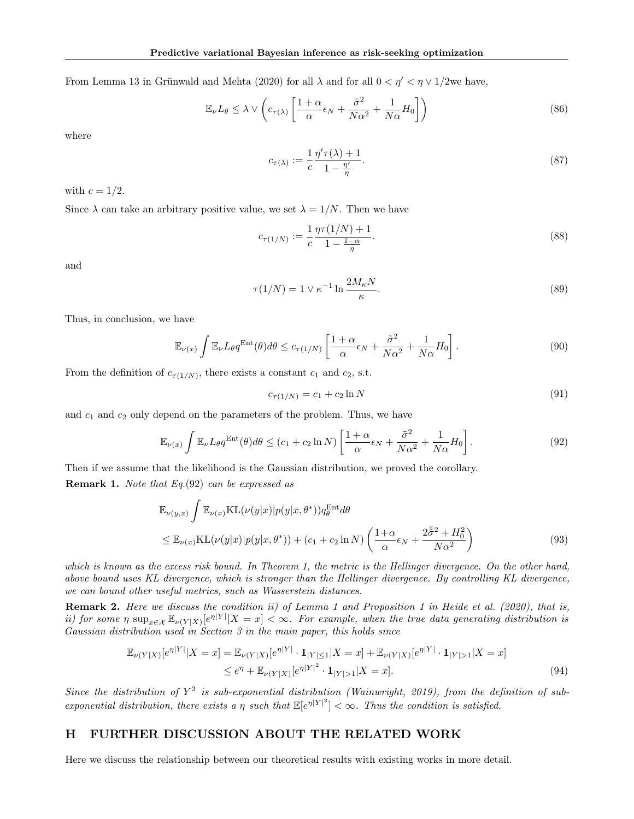From Lemma 13 in Grünwald and Mehta (2020) for all  $\lambda$  and for all  $0 < \eta' < \eta \vee 1/2$ we have,

$$
\mathbb{E}_{\nu}L_{\theta} \le \lambda \vee \left(c_{\tau(\lambda)} \left[\frac{1+\alpha}{\alpha}\epsilon_N + \frac{\tilde{\sigma}^2}{N\alpha^2} + \frac{1}{N\alpha}H_0\right]\right)
$$
(86)

where

$$
c_{\tau(\lambda)} := \frac{1}{c} \frac{\eta' \tau(\lambda) + 1}{1 - \frac{\eta'}{\eta}}.
$$
\n
$$
(87)
$$

with  $c = 1/2$ .

Since  $\lambda$  can take an arbitrary positive value, we set  $\lambda = 1/N$ . Then we have

$$
c_{\tau(1/N)} := \frac{1}{c} \frac{\eta \tau(1/N) + 1}{1 - \frac{1 - \alpha}{\eta}}.
$$
\n(88)

and

$$
\tau(1/N) = 1 \vee \kappa^{-1} \ln \frac{2M_{\kappa}N}{\kappa}.
$$
\n(89)

Thus, in conclusion, we have

$$
\mathbb{E}_{\nu(x)} \int \mathbb{E}_{\nu} L_{\theta} q^{\text{Ent}}(\theta) d\theta \le c_{\tau(1/N)} \left[ \frac{1+\alpha}{\alpha} \epsilon_N + \frac{\tilde{\sigma}^2}{N\alpha^2} + \frac{1}{N\alpha} H_0 \right]. \tag{90}
$$

From the definition of  $c_{\tau(1/N)}$ , there exists a constant  $c_1$  and  $c_2$ , s.t.

$$
c_{\tau(1/N)} = c_1 + c_2 \ln N \tag{91}
$$

and  $c_1$  and  $c_2$  only depend on the parameters of the problem. Thus, we have

$$
\mathbb{E}_{\nu(x)} \int \mathbb{E}_{\nu} L_{\theta} q^{\text{Ent}}(\theta) d\theta \le (c_1 + c_2 \ln N) \left[ \frac{1 + \alpha}{\alpha} \epsilon_N + \frac{\tilde{\sigma}^2}{N \alpha^2} + \frac{1}{N \alpha} H_0 \right].
$$
 (92)

Then if we assume that the likelihood is the Gaussian distribution, we proved the corollary. **Remark 1.** Note that  $Eq.(92)$  can be expressed as

$$
\mathbb{E}_{\nu(y,x)} \int \mathbb{E}_{\nu(x)} \text{KL}(\nu(y|x)|p(y|x,\theta^*))q_{\theta}^{\text{Ent}}d\theta
$$
\n
$$
\leq \mathbb{E}_{\nu(x)} \text{KL}(\nu(y|x)|p(y|x,\theta^*)) + (c_1 + c_2 \ln N) \left(\frac{1+\alpha}{\alpha}\epsilon_N + \frac{2\tilde{\sigma}^2 + H_0^2}{N\alpha^2}\right)
$$
\n(93)

which is known as the excess risk bound. In Theorem 1, the metric is the Hellinger divergence. On the other hand, above bound uses KL divergence, which is stronger than the Hellinger divergence. By controlling KL divergence, we can bound other useful metrics, such as Wasserstein distances.

Remark 2. Here we discuss the condition ii) of Lemma 1 and Proposition 1 in Heide et al. (2020), that is, ii) for some  $\eta$  sup<sub> $x \in \mathcal{X} \mathbb{E}_{\nu(Y|X)}[e^{\eta|Y|} | X = x] < \infty$ . For example, when the true data generating distribution is</sub> Gaussian distribution used in Section 3 in the main paper, this holds since

$$
\mathbb{E}_{\nu(Y|X)}[e^{\eta|Y|}|X=x] = \mathbb{E}_{\nu(Y|X)}[e^{\eta|Y|} \cdot \mathbf{1}_{|Y| \le 1}|X=x] + \mathbb{E}_{\nu(Y|X)}[e^{\eta|Y|} \cdot \mathbf{1}_{|Y|>1}|X=x] \le e^{\eta} + \mathbb{E}_{\nu(Y|X)}[e^{\eta|Y|^2} \cdot \mathbf{1}_{|Y|>1}|X=x].
$$
\n(94)

Since the distribution of  $Y^2$  is sub-exponential distribution (Wainwright, 2019), from the definition of subexponential distribution, there exists a  $\eta$  such that  $\mathbb{E}[e^{\eta |Y|^2}] < \infty$ . Thus the condition is satisfied.

### H FURTHER DISCUSSION ABOUT THE RELATED WORK

Here we discuss the relationship between our theoretical results with existing works in more detail.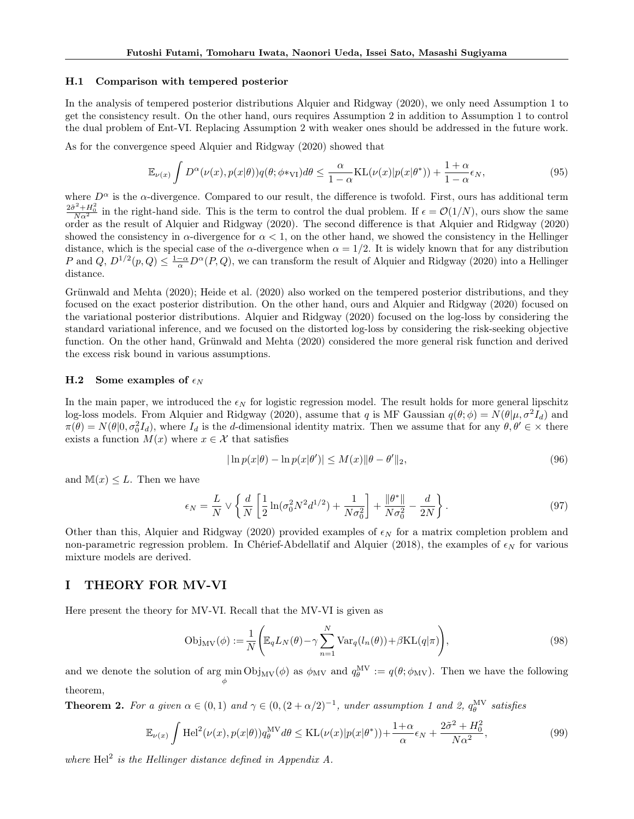#### H.1 Comparison with tempered posterior

In the analysis of tempered posterior distributions Alquier and Ridgway (2020), we only need Assumption 1 to get the consistency result. On the other hand, ours requires Assumption 2 in addition to Assumption 1 to control the dual problem of Ent-VI. Replacing Assumption 2 with weaker ones should be addressed in the future work.

As for the convergence speed Alquier and Ridgway (2020) showed that

$$
\mathbb{E}_{\nu(x)} \int D^{\alpha}(\nu(x), p(x|\theta)) q(\theta; \phi *_{\text{VI}}) d\theta \le \frac{\alpha}{1-\alpha} \text{KL}(\nu(x) | p(x|\theta^*)) + \frac{1+\alpha}{1-\alpha} \epsilon_N,
$$
\n(95)

where  $D^{\alpha}$  is the  $\alpha$ -divergence. Compared to our result, the difference is twofold. First, ours has additional term  $\frac{2\tilde{\sigma}^2 + H_0^2}{N\alpha^2}$  in the right-hand side. This is the term to control the dual problem. If  $\epsilon = \mathcal{O}(1/N)$ , ours show the same order as the result of Alquier and Ridgway (2020). The second difference is that Alquier and Ridgway (2020) showed the consistency in  $\alpha$ -divergence for  $\alpha < 1$ , on the other hand, we showed the consistency in the Hellinger distance, which is the special case of the  $\alpha$ -divergence when  $\alpha = 1/2$ . It is widely known that for any distribution P and Q,  $D^{1/2}(p,Q) \leq \frac{1-\alpha}{\alpha}D^{\alpha}(P,Q)$ , we can transform the result of Alquier and Ridgway (2020) into a Hellinger distance.

Grünwald and Mehta (2020); Heide et al. (2020) also worked on the tempered posterior distributions, and they focused on the exact posterior distribution. On the other hand, ours and Alquier and Ridgway (2020) focused on the variational posterior distributions. Alquier and Ridgway (2020) focused on the log-loss by considering the standard variational inference, and we focused on the distorted log-loss by considering the risk-seeking objective function. On the other hand, Grünwald and Mehta (2020) considered the more general risk function and derived the excess risk bound in various assumptions.

### H.2 Some examples of  $\epsilon_N$

In the main paper, we introduced the  $\epsilon_N$  for logistic regression model. The result holds for more general lipschitz log-loss models. From Alquier and Ridgway (2020), assume that q is MF Gaussian  $q(\theta; \phi) = N(\theta | \mu, \sigma^2 I_d)$  and  $\pi(\theta) = N(\theta|0, \sigma_0^2 I_d)$ , where  $I_d$  is the d-dimensional identity matrix. Then we assume that for any  $\theta, \theta' \in \times$  there exists a function  $M(x)$  where  $x \in \mathcal{X}$  that satisfies

$$
|\ln p(x|\theta) - \ln p(x|\theta')| \le M(x) \|\theta - \theta'\|_2,
$$
\n(96)

and  $\mathbb{M}(x) \leq L$ . Then we have

$$
\epsilon_N = \frac{L}{N} \vee \left\{ \frac{d}{N} \left[ \frac{1}{2} \ln(\sigma_0^2 N^2 d^{1/2}) + \frac{1}{N \sigma_0^2} \right] + \frac{\|\theta^*\|}{N \sigma_0^2} - \frac{d}{2N} \right\}.
$$
 (97)

Other than this, Alquier and Ridgway (2020) provided examples of  $\epsilon_N$  for a matrix completion problem and non-parametric regression problem. In Chérief-Abdellatif and Alquier (2018), the examples of  $\epsilon_N$  for various mixture models are derived.

## I THEORY FOR MV-VI

Here present the theory for MV-VI. Recall that the MV-VI is given as

$$
Obj_{MV}(\phi) := \frac{1}{N} \left( \mathbb{E}_q L_N(\theta) - \gamma \sum_{n=1}^N \text{Var}_q(l_n(\theta)) + \beta \text{KL}(q|\pi) \right),\tag{98}
$$

and we denote the solution of  $\arg\min_{\phi} \text{Obj}_{MV}(\phi)$  as  $\phi_{MV}$  and  $q_{\theta}^{MV} := q(\theta; \phi_{MV})$ . Then we have the following theorem,

**Theorem 2.** For a given  $\alpha \in (0,1)$  and  $\gamma \in (0,(2+\alpha/2)^{-1})$ , under assumption 1 and 2,  $q_{\theta}^{\text{MV}}$  satisfies

$$
\mathbb{E}_{\nu(x)} \int \mathrm{Hel}^2(\nu(x), p(x|\theta)) q_{\theta}^{\mathrm{MV}} d\theta \le \mathrm{KL}(\nu(x) | p(x|\theta^*)) + \frac{1+\alpha}{\alpha} \epsilon_N + \frac{2\tilde{\sigma}^2 + H_0^2}{N\alpha^2},\tag{99}
$$

where  $\text{Hel}^2$  is the Hellinger distance defined in Appendix A.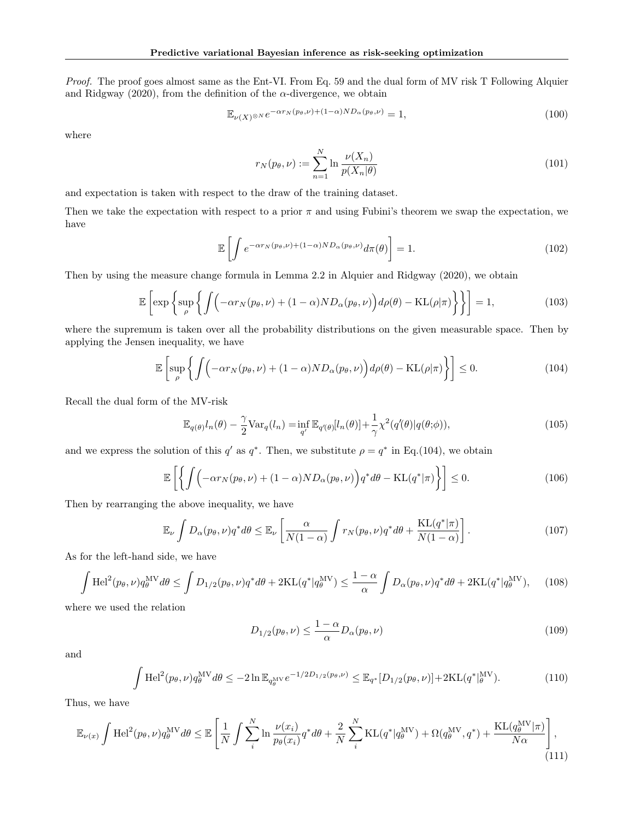Proof. The proof goes almost same as the Ent-VI. From Eq. 59 and the dual form of MV risk T Following Alquier and Ridgway (2020), from the definition of the  $\alpha$ -divergence, we obtain

$$
\mathbb{E}_{\nu(X)^{\otimes N}} e^{-\alpha r_N(p_\theta, \nu) + (1 - \alpha) N D_\alpha(p_\theta, \nu)} = 1,
$$
\n(100)

where

$$
r_N(p_\theta, \nu) := \sum_{n=1}^N \ln \frac{\nu(X_n)}{p(X_n|\theta)}\tag{101}
$$

and expectation is taken with respect to the draw of the training dataset.

Then we take the expectation with respect to a prior  $\pi$  and using Fubini's theorem we swap the expectation, we have

$$
\mathbb{E}\left[\int e^{-\alpha r_N(p_\theta,\nu)+(1-\alpha)ND_\alpha(p_\theta,\nu)}d\pi(\theta)\right]=1.
$$
\n(102)

Then by using the measure change formula in Lemma 2.2 in Alquier and Ridgway (2020), we obtain

$$
\mathbb{E}\left[\exp\left\{\sup_{\rho}\left\{\int\left(-\alpha r_N(p_\theta,\nu)+(1-\alpha)ND_\alpha(p_\theta,\nu)\right)d\rho(\theta)-\mathrm{KL}(\rho|\pi)\right\}\right\}\right]=1,\tag{103}
$$

where the supremum is taken over all the probability distributions on the given measurable space. Then by applying the Jensen inequality, we have

$$
\mathbb{E}\left[\sup_{\rho}\left\{\int\left(-\alpha r_N(p_\theta,\nu)+(1-\alpha)ND_\alpha(p_\theta,\nu)\right)d\rho(\theta)-\mathrm{KL}(\rho|\pi)\right\}\right]\leq 0.\tag{104}
$$

Recall the dual form of the MV-risk

$$
\mathbb{E}_{q(\theta)}l_n(\theta) - \frac{\gamma}{2} \text{Var}_q(l_n) = \inf_{q'} \mathbb{E}_{q'(\theta)}[l_n(\theta)] + \frac{1}{\gamma} \chi^2(q'(\theta)|q(\theta;\phi)),\tag{105}
$$

and we express the solution of this  $q'$  as  $q^*$ . Then, we substitute  $\rho = q^*$  in Eq.(104), we obtain

$$
\mathbb{E}\left[\left\{\int\left(-\alpha r_N(p_\theta,\nu)+(1-\alpha)ND_\alpha(p_\theta,\nu)\right)q^*d\theta-\mathrm{KL}(q^*|\pi)\right\}\right]\leq 0.\tag{106}
$$

Then by rearranging the above inequality, we have

$$
\mathbb{E}_{\nu} \int D_{\alpha}(p_{\theta}, \nu) q^* d\theta \leq \mathbb{E}_{\nu} \left[ \frac{\alpha}{N(1-\alpha)} \int r_N(p_{\theta}, \nu) q^* d\theta + \frac{\mathrm{KL}(q^*|\pi)}{N(1-\alpha)} \right]. \tag{107}
$$

As for the left-hand side, we have

$$
\int \mathrm{Hel}^2(p_\theta, \nu) q_\theta^{\mathrm{MV}} d\theta \le \int D_{1/2}(p_\theta, \nu) q^* d\theta + 2\mathrm{KL}(q^* | q_\theta^{\mathrm{MV}}) \le \frac{1-\alpha}{\alpha} \int D_\alpha(p_\theta, \nu) q^* d\theta + 2\mathrm{KL}(q^* | q_\theta^{\mathrm{MV}}), \quad (108)
$$

where we used the relation

$$
D_{1/2}(p_{\theta},\nu) \le \frac{1-\alpha}{\alpha} D_{\alpha}(p_{\theta},\nu) \tag{109}
$$

and

$$
\int \mathrm{Hel}^2(p_\theta, \nu) q_\theta^{\mathrm{MV}} d\theta \le -2 \ln \mathbb{E}_{q_\theta^{\mathrm{MV}}} e^{-1/2D_{1/2}(p_\theta, \nu)} \le \mathbb{E}_{q^*}[D_{1/2}(p_\theta, \nu)] + 2\mathrm{KL}(q^*|_{\theta}^{\mathrm{MV}}). \tag{110}
$$

Thus, we have

$$
\mathbb{E}_{\nu(x)} \int \mathrm{Hel}^2(p_\theta, \nu) q_\theta^{\mathrm{MV}} d\theta \le \mathbb{E} \left[ \frac{1}{N} \int \sum_i^N \ln \frac{\nu(x_i)}{p_\theta(x_i)} q^* d\theta + \frac{2}{N} \sum_i^N \mathrm{KL}(q^* | q_\theta^{\mathrm{MV}}) + \Omega(q_\theta^{\mathrm{MV}}, q^*) + \frac{\mathrm{KL}(q_\theta^{\mathrm{MV}} | \pi)}{N\alpha} \right],
$$
\n(111)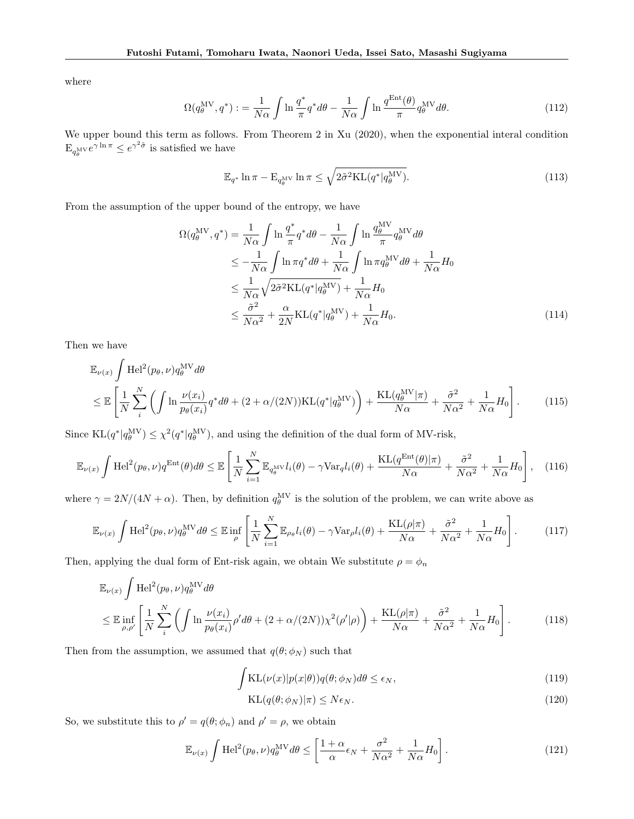where

$$
\Omega(q_{\theta}^{\text{MV}}, q^*) := \frac{1}{N\alpha} \int \ln \frac{q^*}{\pi} q^* d\theta - \frac{1}{N\alpha} \int \ln \frac{q^{\text{Ent}}(\theta)}{\pi} q_{\theta}^{\text{MV}} d\theta. \tag{112}
$$

We upper bound this term as follows. From Theorem 2 in Xu (2020), when the exponential interal condition  $\mathbb{E}_{q_\theta^{\text{MV}}} e^{\gamma \ln \pi} \leq e^{\gamma^2 \tilde{\sigma}}$  is satisfied we have

$$
\mathbb{E}_{q^*} \ln \pi - \mathbb{E}_{q_\theta^{\rm MV}} \ln \pi \le \sqrt{2\tilde{\sigma}^2 \text{KL}(q^* | q_\theta^{\rm MV})}.
$$
\n(113)

From the assumption of the upper bound of the entropy, we have

$$
\Omega(q_{\theta}^{\text{MV}}, q^*) = \frac{1}{N\alpha} \int \ln \frac{q^*}{\pi} q^* d\theta - \frac{1}{N\alpha} \int \ln \frac{q_{\theta}^{\text{MV}}}{\pi} q_{\theta}^{\text{MV}} d\theta
$$
  
\n
$$
\leq -\frac{1}{N\alpha} \int \ln \pi q^* d\theta + \frac{1}{N\alpha} \int \ln \pi q_{\theta}^{\text{MV}} d\theta + \frac{1}{N\alpha} H_0
$$
  
\n
$$
\leq \frac{1}{N\alpha} \sqrt{2\tilde{\sigma}^2 \text{KL}(q^* | q_{\theta}^{\text{MV}})} + \frac{1}{N\alpha} H_0
$$
  
\n
$$
\leq \frac{\tilde{\sigma}^2}{N\alpha^2} + \frac{\alpha}{2N} \text{KL}(q^* | q_{\theta}^{\text{MV}}) + \frac{1}{N\alpha} H_0.
$$
\n(114)

Then we have

$$
\mathbb{E}_{\nu(x)} \int \text{Hel}^2(p_\theta, \nu) q_\theta^{\text{MV}} d\theta
$$
\n
$$
\leq \mathbb{E} \left[ \frac{1}{N} \sum_{i}^{N} \left( \int \ln \frac{\nu(x_i)}{p_\theta(x_i)} q^* d\theta + (2 + \alpha/(2N)) \text{KL}(q^* | q_\theta^{\text{MV}}) \right) + \frac{\text{KL}(q_\theta^{\text{MV}} | \pi)}{N\alpha} + \frac{\tilde{\sigma}^2}{N\alpha^2} + \frac{1}{N\alpha} H_0 \right].
$$
\n(115)

Since  $KL(q^*|q_\theta^{MV}) \leq \chi^2(q^*|q_\theta^{MV})$ , and using the definition of the dual form of MV-risk,

$$
\mathbb{E}_{\nu(x)} \int \mathrm{Hel}^2(p_\theta, \nu) q^{\mathrm{Ent}}(\theta) d\theta \le \mathbb{E} \left[ \frac{1}{N} \sum_{i=1}^N \mathbb{E}_{q_\theta^{\mathrm{MV}}} l_i(\theta) - \gamma \mathrm{Var}_q l_i(\theta) + \frac{\mathrm{KL}(q^{\mathrm{Ent}}(\theta) | \pi)}{N \alpha} + \frac{\tilde{\sigma}^2}{N \alpha^2} + \frac{1}{N \alpha} H_0 \right], \quad (116)
$$

where  $\gamma = 2N/(4N + \alpha)$ . Then, by definition  $q_{\theta}^{MV}$  is the solution of the problem, we can write above as

$$
\mathbb{E}_{\nu(x)} \int \mathrm{Hel}^2(p_\theta, \nu) q_\theta^{\mathrm{MV}} d\theta \le \mathbb{E} \inf_{\rho} \left[ \frac{1}{N} \sum_{i=1}^N \mathbb{E}_{\rho_\theta} l_i(\theta) - \gamma \mathrm{Var}_{\rho} l_i(\theta) + \frac{\mathrm{KL}(\rho|\pi)}{N\alpha} + \frac{\tilde{\sigma}^2}{N\alpha^2} + \frac{1}{N\alpha} H_0 \right]. \tag{117}
$$

Then, applying the dual form of Ent-risk again, we obtain We substitute  $\rho=\phi_n$ 

$$
\mathbb{E}_{\nu(x)} \int \text{Hel}^2(p_{\theta}, \nu) q_{\theta}^{\text{MV}} d\theta
$$
\n
$$
\leq \mathbb{E} \inf_{\rho, \rho'} \left[ \frac{1}{N} \sum_{i}^{N} \left( \int \ln \frac{\nu(x_i)}{p_{\theta}(x_i)} \rho' d\theta + (2 + \alpha/(2N)) \chi^2(\rho'|\rho) \right) + \frac{\text{KL}(\rho|\pi)}{N\alpha} + \frac{\tilde{\sigma}^2}{N\alpha^2} + \frac{1}{N\alpha} H_0 \right].
$$
\n(118)

Then from the assumption, we assumed that  $q(\theta; \phi_N)$  such that

$$
\int \mathrm{KL}(\nu(x)|p(x|\theta))q(\theta;\phi_N)d\theta \le \epsilon_N,\tag{119}
$$

$$
KL(q(\theta; \phi_N)|\pi) \le N\epsilon_N. \tag{120}
$$

So, we substitute this to  $\rho' = q(\theta; \phi_n)$  and  $\rho' = \rho$ , we obtain

$$
\mathbb{E}_{\nu(x)} \int \mathrm{Hel}^2(p_\theta, \nu) q_\theta^{\mathrm{MV}} d\theta \le \left[ \frac{1+\alpha}{\alpha} \epsilon_N + \frac{\sigma^2}{N\alpha^2} + \frac{1}{N\alpha} H_0 \right]. \tag{121}
$$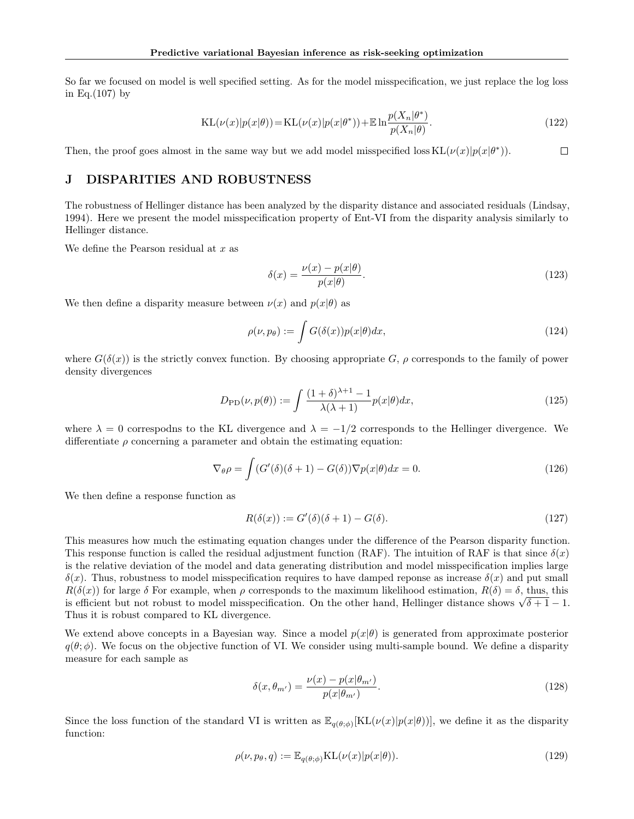So far we focused on model is well specified setting. As for the model misspecification, we just replace the log loss in Eq.(107) by

$$
KL(\nu(x)|p(x|\theta)) = KL(\nu(x)|p(x|\theta^*)) + E \ln \frac{p(X_n|\theta^*)}{p(X_n|\theta)}.
$$
\n(122)

Then, the proof goes almost in the same way but we add model misspecified loss  $KL(\nu(x)|p(x|\theta^*))$ .  $\Box$ 

# J DISPARITIES AND ROBUSTNESS

The robustness of Hellinger distance has been analyzed by the disparity distance and associated residuals (Lindsay, 1994). Here we present the model misspecification property of Ent-VI from the disparity analysis similarly to Hellinger distance.

We define the Pearson residual at  $x$  as

$$
\delta(x) = \frac{\nu(x) - p(x|\theta)}{p(x|\theta)}.
$$
\n(123)

We then define a disparity measure between  $\nu(x)$  and  $p(x|\theta)$  as

$$
\rho(\nu, p_{\theta}) := \int G(\delta(x)) p(x|\theta) dx, \qquad (124)
$$

where  $G(\delta(x))$  is the strictly convex function. By choosing appropriate G,  $\rho$  corresponds to the family of power density divergences

$$
D_{\rm PD}(\nu, p(\theta)) := \int \frac{(1+\delta)^{\lambda+1} - 1}{\lambda(\lambda+1)} p(x|\theta) dx,
$$
\n(125)

where  $\lambda = 0$  correspodns to the KL divergence and  $\lambda = -1/2$  corresponds to the Hellinger divergence. We differentiate  $\rho$  concerning a parameter and obtain the estimating equation:

$$
\nabla_{\theta} \rho = \int (G'(\delta)(\delta + 1) - G(\delta)) \nabla p(x|\theta) dx = 0.
$$
\n(126)

We then define a response function as

$$
R(\delta(x)) := G'(\delta)(\delta + 1) - G(\delta). \tag{127}
$$

This measures how much the estimating equation changes under the difference of the Pearson disparity function. This response function is called the residual adjustment function (RAF). The intuition of RAF is that since  $\delta(x)$ is the relative deviation of the model and data generating distribution and model misspecification implies large  $\delta(x)$ . Thus, robustness to model misspecification requires to have damped reponse as increase  $\delta(x)$  and put small  $R(\delta(x))$  for large  $\delta$  For example, when  $\rho$  corresponds to the maximum likelihood estimation,  $R(\delta) = \delta$ , thus, this is efficient but not robust to model misspecification. On the other hand, Hellinger distance shows  $\sqrt{\delta+1}-1$ . Thus it is robust compared to KL divergence.

We extend above concepts in a Bayesian way. Since a model  $p(x|\theta)$  is generated from approximate posterior  $q(\theta; \phi)$ . We focus on the objective function of VI. We consider using multi-sample bound. We define a disparity measure for each sample as

$$
\delta(x, \theta_{m'}) = \frac{\nu(x) - p(x|\theta_{m'})}{p(x|\theta_{m'})}.
$$
\n(128)

Since the loss function of the standard VI is written as  $\mathbb{E}_{q(\theta,\phi)}[\text{KL}(\nu(x)|p(x|\theta))]$ , we define it as the disparity function:

$$
\rho(\nu, p_{\theta}, q) := \mathbb{E}_{q(\theta; \phi)} \text{KL}(\nu(x) | p(x|\theta)). \tag{129}
$$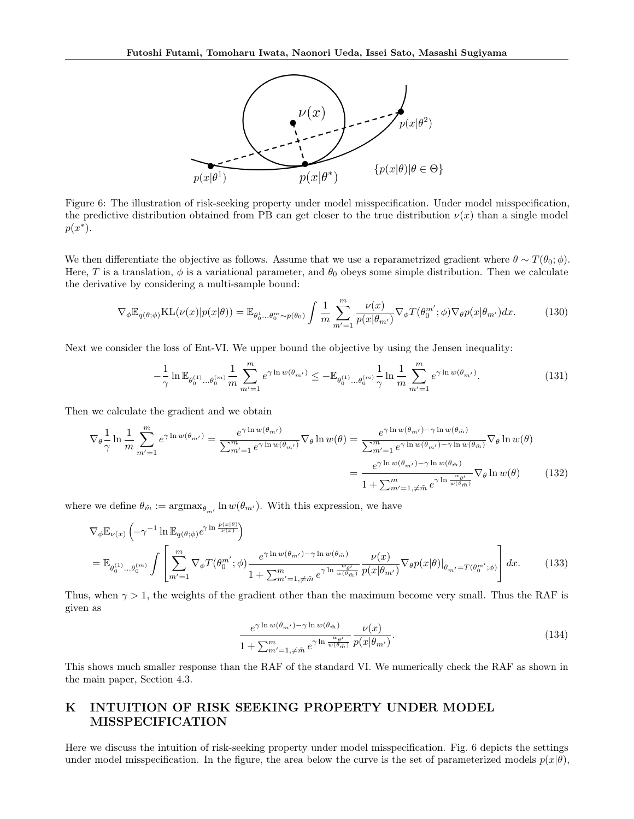

Figure 6: The illustration of risk-seeking property under model misspecification. Under model misspecification, the predictive distribution obtained from PB can get closer to the true distribution  $\nu(x)$  than a single model  $p(x^*)$ .

We then differentiate the objective as follows. Assume that we use a reparametrized gradient where  $\theta \sim T(\theta_0; \phi)$ . Here, T is a translation,  $\phi$  is a variational parameter, and  $\theta_0$  obeys some simple distribution. Then we calculate the derivative by considering a multi-sample bound:

$$
\nabla_{\phi} \mathbb{E}_{q(\theta;\phi)} \text{KL}(\nu(x)|p(x|\theta)) = \mathbb{E}_{\theta_0^1 \dots \theta_0^m \sim p(\theta_0)} \int \frac{1}{m} \sum_{m'=1}^m \frac{\nu(x)}{p(x|\theta_{m'})} \nabla_{\phi} T(\theta_0^{m'};\phi) \nabla_{\theta} p(x|\theta_{m'}) dx.
$$
 (130)

Next we consider the loss of Ent-VI. We upper bound the objective by using the Jensen inequality:

$$
-\frac{1}{\gamma}\ln \mathbb{E}_{\theta_0^{(1)}\dots\theta_0^{(m)}} \frac{1}{m} \sum_{m'=1}^m e^{\gamma \ln w(\theta_{m'})} \le -\mathbb{E}_{\theta_0^{(1)}\dots\theta_0^{(m)}} \frac{1}{\gamma} \ln \frac{1}{m} \sum_{m'=1}^m e^{\gamma \ln w(\theta_{m'})}.
$$
 (131)

Then we calculate the gradient and we obtain

$$
\nabla_{\theta} \frac{1}{\gamma} \ln \frac{1}{m} \sum_{m'=1}^{m} e^{\gamma \ln w(\theta_{m'})} = \frac{e^{\gamma \ln w(\theta_{m'})}}{\sum_{m'=1}^{m} e^{\gamma \ln w(\theta_{m'})}} \nabla_{\theta} \ln w(\theta) = \frac{e^{\gamma \ln w(\theta_{m'}) - \gamma \ln w(\theta_{\tilde{m}})}}{\sum_{m'=1}^{m} e^{\gamma \ln w(\theta_{m'}) - \gamma \ln w(\theta_{\tilde{m}})}} \nabla_{\theta} \ln w(\theta)
$$

$$
= \frac{e^{\gamma \ln w(\theta_{m'}) - \gamma \ln w(\theta_{\tilde{m}})}}{1 + \sum_{m'=1, \neq \tilde{m}}^{m} e^{\gamma \ln \frac{w(\theta_{m'})}{w(\theta_{\tilde{m}})}}} \nabla_{\theta} \ln w(\theta) \tag{132}
$$

where we define  $\theta_{\tilde{m}} := \operatorname{argmax}_{\theta_{m'}} \ln w(\theta_{m'})$ . With this expression, we have

$$
\nabla_{\phi} \mathbb{E}_{\nu(x)} \left( -\gamma^{-1} \ln \mathbb{E}_{q(\theta; \phi)} e^{\gamma \ln \frac{p(x|\theta)}{\nu(x)}} \right)
$$
\n
$$
= \mathbb{E}_{\theta_0^{(1)} \dots \theta_0^{(m)}} \int \left[ \sum_{m'=1}^m \nabla_{\phi} T(\theta_0^{m'}; \phi) \frac{e^{\gamma \ln w(\theta_{m'}) - \gamma \ln w(\theta_{\tilde{m}})}}{1 + \sum_{m'=1, \neq \tilde{m}}^m e^{\gamma \ln \frac{w_{\theta'}}{w(\theta_{\tilde{m}})}}} \frac{\nu(x)}{p(x|\theta_m)} \nabla_{\theta} p(x|\theta)|_{\theta_{m'} = T(\theta_0^{m'}; \phi)} \right] dx. \tag{133}
$$

Thus, when  $\gamma > 1$ , the weights of the gradient other than the maximum become very small. Thus the RAF is given as

$$
\frac{e^{\gamma \ln w(\theta_{m'}) - \gamma \ln w(\theta_{\tilde{m}})}}{1 + \sum_{m'=1,\neq \tilde{m}}^m e^{\gamma \ln \frac{w_{\theta'}}{w(\theta_{\tilde{m}})}}} \frac{\nu(x)}{p(x|\theta_{m'})}.
$$
\n(134)

This shows much smaller response than the RAF of the standard VI. We numerically check the RAF as shown in the main paper, Section 4.3.

# K INTUITION OF RISK SEEKING PROPERTY UNDER MODEL MISSPECIFICATION

Here we discuss the intuition of risk-seeking property under model misspecification. Fig. 6 depicts the settings under model misspecification. In the figure, the area below the curve is the set of parameterized models  $p(x|\theta)$ ,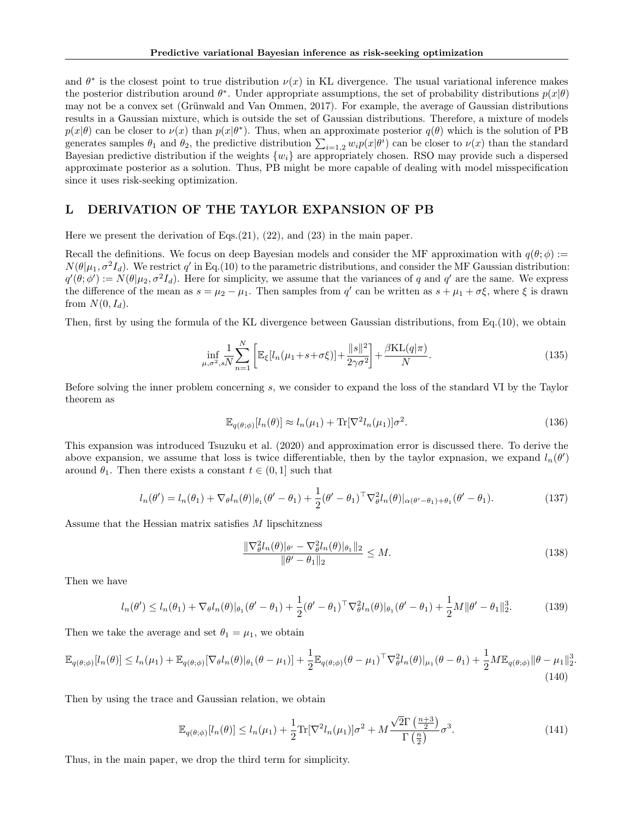and  $\theta^*$  is the closest point to true distribution  $\nu(x)$  in KL divergence. The usual variational inference makes the posterior distribution around  $\theta^*$ . Under appropriate assumptions, the set of probability distributions  $p(x|\theta)$ may not be a convex set (Grünwald and Van Ommen, 2017). For example, the average of Gaussian distributions results in a Gaussian mixture, which is outside the set of Gaussian distributions. Therefore, a mixture of models  $p(x|\theta)$  can be closer to  $\nu(x)$  than  $p(x|\theta^*)$ . Thus, when an approximate posterior  $q(\theta)$  which is the solution of PB generates samples  $\theta_1$  and  $\theta_2$ , the predictive distribution  $\sum_{i=1,2} w_i p(x|\theta^i)$  can be closer to  $\nu(x)$  than the standard Bayesian predictive distribution if the weights  $\{w_i\}$  are appropriately chosen. RSO may provide such a dispersed approximate posterior as a solution. Thus, PB might be more capable of dealing with model misspecification since it uses risk-seeking optimization.

### L DERIVATION OF THE TAYLOR EXPANSION OF PB

Here we present the derivation of Eqs.(21), (22), and (23) in the main paper.

Recall the definitions. We focus on deep Bayesian models and consider the MF approximation with  $q(\theta; \phi)$  :=  $N(\theta|\mu_1, \sigma^2 I_d)$ . We restrict q' in Eq.(10) to the parametric distributions, and consider the MF Gaussian distribution:  $q'(\theta; \phi') := N(\theta | \mu_2, \sigma^2 I_d)$ . Here for simplicity, we assume that the variances of q and q' are the same. We express the difference of the mean as  $s = \mu_2 - \mu_1$ . Then samples from q' can be written as  $s + \mu_1 + \sigma \xi$ , where  $\xi$  is drawn from  $N(0, I_d)$ .

Then, first by using the formula of the KL divergence between Gaussian distributions, from Eq.(10), we obtain

$$
\inf_{\mu,\sigma^2,sN} \sum_{n=1}^N \left[ \mathbb{E}_{\xi} [l_n(\mu_1 + s + \sigma \xi)] + \frac{\|s\|^2}{2\gamma \sigma^2} \right] + \frac{\beta \text{KL}(q|\pi)}{N}.
$$
\n(135)

Before solving the inner problem concerning s, we consider to expand the loss of the standard VI by the Taylor theorem as

$$
\mathbb{E}_{q(\theta,\phi)}[l_n(\theta)] \approx l_n(\mu_1) + \text{Tr}[\nabla^2 l_n(\mu_1)]\sigma^2.
$$
\n(136)

This expansion was introduced Tsuzuku et al. (2020) and approximation error is discussed there. To derive the above expansion, we assume that loss is twice differentiable, then by the taylor expnasion, we expand  $l_n(\theta')$ around  $\theta_1$ . Then there exists a constant  $t \in (0, 1]$  such that

$$
l_n(\theta') = l_n(\theta_1) + \nabla_{\theta} l_n(\theta) |_{\theta_1}(\theta' - \theta_1) + \frac{1}{2} (\theta' - \theta_1)^{\top} \nabla_{\theta}^2 l_n(\theta) |_{\alpha(\theta' - \theta_1) + \theta_1} (\theta' - \theta_1).
$$
\n(137)

Assume that the Hessian matrix satisfies M lipschitzness

$$
\frac{\|\nabla_{\theta}^{2}l_{n}(\theta)|_{\theta'} - \nabla_{\theta}^{2}l_{n}(\theta)|_{\theta_{1}}\|_{2}}{\|\theta' - \theta_{1}\|_{2}} \leq M.
$$
\n(138)

.

Then we have

$$
l_n(\theta') \le l_n(\theta_1) + \nabla_{\theta} l_n(\theta) |_{\theta_1}(\theta' - \theta_1) + \frac{1}{2} (\theta' - \theta_1)^{\top} \nabla_{\theta}^2 l_n(\theta) |_{\theta_1}(\theta' - \theta_1) + \frac{1}{2} M \|\theta' - \theta_1\|_2^3.
$$
 (139)

Then we take the average and set  $\theta_1 = \mu_1$ , we obtain

$$
\mathbb{E}_{q(\theta;\phi)}[l_n(\theta)] \le l_n(\mu_1) + \mathbb{E}_{q(\theta;\phi)}[\nabla_{\theta}l_n(\theta)|_{\theta_1}(\theta-\mu_1)] + \frac{1}{2}\mathbb{E}_{q(\theta;\phi)}(\theta-\mu_1)^\top \nabla_{\theta}^2 l_n(\theta)|_{\mu_1}(\theta-\theta_1) + \frac{1}{2}M\mathbb{E}_{q(\theta;\phi)}\|\theta-\mu_1\|_2^3
$$
\n(140)

Then by using the trace and Gaussian relation, we obtain

$$
\mathbb{E}_{q(\theta;\phi)}[l_n(\theta)] \le l_n(\mu_1) + \frac{1}{2} \text{Tr}[\nabla^2 l_n(\mu_1)]\sigma^2 + M \frac{\sqrt{2}\Gamma\left(\frac{n+3}{2}\right)}{\Gamma\left(\frac{n}{2}\right)} \sigma^3. \tag{141}
$$

Thus, in the main paper, we drop the third term for simplicity.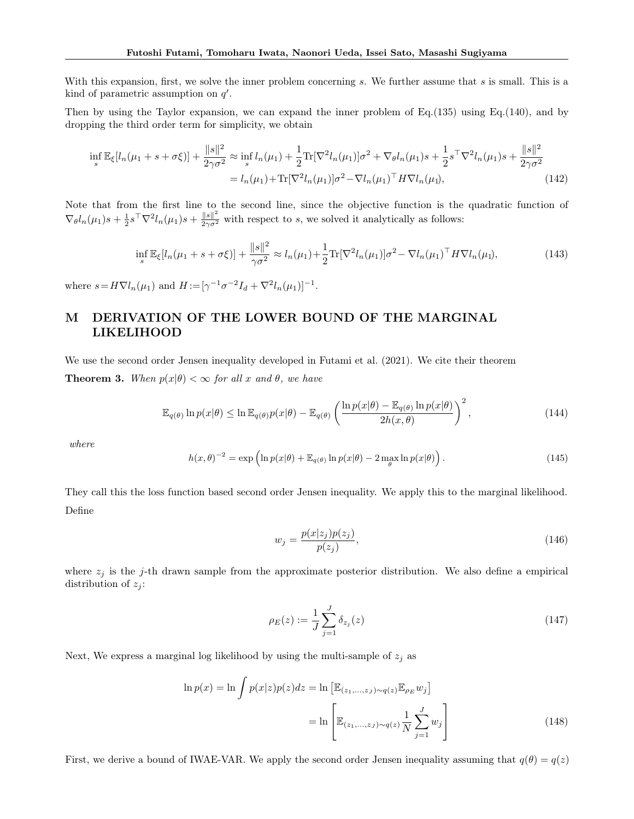With this expansion, first, we solve the inner problem concerning s. We further assume that s is small. This is a kind of parametric assumption on  $q'$ .

Then by using the Taylor expansion, we can expand the inner problem of Eq.(135) using Eq.(140), and by dropping the third order term for simplicity, we obtain

$$
\inf_{s} \mathbb{E}_{\xi}[l_n(\mu_1 + s + \sigma \xi)] + \frac{\|s\|^2}{2\gamma \sigma^2} \approx \inf_{s} l_n(\mu_1) + \frac{1}{2} \text{Tr}[\nabla^2 l_n(\mu_1)] \sigma^2 + \nabla_{\theta} l_n(\mu_1) s + \frac{1}{2} s^{\top} \nabla^2 l_n(\mu_1) s + \frac{\|s\|^2}{2\gamma \sigma^2}
$$

$$
= l_n(\mu_1) + \text{Tr}[\nabla^2 l_n(\mu_1)] \sigma^2 - \nabla l_n(\mu_1)^{\top} H \nabla l_n(\mu_1), \tag{142}
$$

Note that from the first line to the second line, since the objective function is the quadratic function of  $\nabla_{\theta} l_n(\mu_1)s + \frac{1}{2}s^{\top} \nabla^2 l_n(\mu_1)s + \frac{\|s\|^2}{2\gamma \sigma^2}$  with respect to s, we solved it analytically as follows:

$$
\inf_{s} \mathbb{E}_{\xi}[l_n(\mu_1 + s + \sigma \xi)] + \frac{\|s\|^2}{\gamma \sigma^2} \approx l_n(\mu_1) + \frac{1}{2} \text{Tr}[\nabla^2 l_n(\mu_1)] \sigma^2 - \nabla l_n(\mu_1)^\top H \nabla l_n(\mu_1),\tag{143}
$$

where  $s = H \nabla l_n(\mu_1)$  and  $H := [\gamma^{-1} \sigma^{-2} I_d + \nabla^2 l_n(\mu_1)]^{-1}$ .

# M DERIVATION OF THE LOWER BOUND OF THE MARGINAL LIKELIHOOD

We use the second order Jensen inequality developed in Futami et al. (2021). We cite their theorem **Theorem 3.** When  $p(x|\theta) < \infty$  for all x and  $\theta$ , we have

$$
\mathbb{E}_{q(\theta)} \ln p(x|\theta) \le \ln \mathbb{E}_{q(\theta)} p(x|\theta) - \mathbb{E}_{q(\theta)} \left( \frac{\ln p(x|\theta) - \mathbb{E}_{q(\theta)} \ln p(x|\theta)}{2h(x,\theta)} \right)^2, \tag{144}
$$

where

$$
h(x,\theta)^{-2} = \exp\left(\ln p(x|\theta) + \mathbb{E}_{q(\theta)}\ln p(x|\theta) - 2\max_{\theta}\ln p(x|\theta)\right). \tag{145}
$$

They call this the loss function based second order Jensen inequality. We apply this to the marginal likelihood. Define

$$
w_j = \frac{p(x|z_j)p(z_j)}{p(z_j)},\tag{146}
$$

where  $z_j$  is the j-th drawn sample from the approximate posterior distribution. We also define a empirical distribution of  $z_j$ :

$$
\rho_E(z) := \frac{1}{J} \sum_{j=1}^{J} \delta_{z_j}(z) \tag{147}
$$

Next, We express a marginal log likelihood by using the multi-sample of  $z_i$  as

$$
\ln p(x) = \ln \int p(x|z)p(z)dz = \ln \left[\mathbb{E}_{(z_1,\ldots,z_J)\sim q(z)}\mathbb{E}_{\rho_E}w_j\right]
$$

$$
= \ln \left[\mathbb{E}_{(z_1,\ldots,z_J)\sim q(z)}\frac{1}{N}\sum_{j=1}^J w_j\right]
$$
(148)

First, we derive a bound of IWAE-VAR. We apply the second order Jensen inequality assuming that  $q(\theta) = q(z)$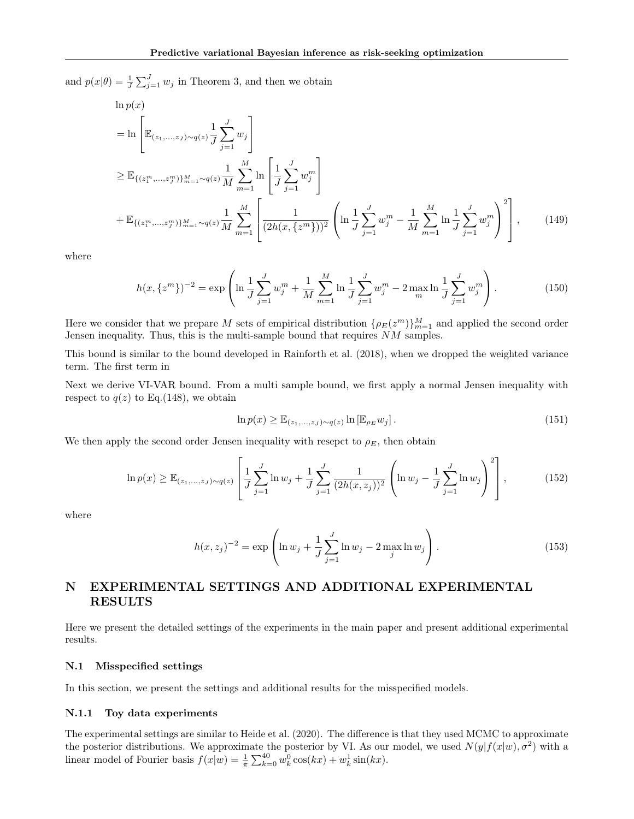and  $p(x|\theta) = \frac{1}{J} \sum_{j=1}^{J} w_j$  in Theorem 3, and then we obtain

 $\mathbf{1}$   $\mathbf{1}$ 

$$
\begin{split}\n&\text{in } p(x) \\
&= \ln \left[ \mathbb{E}_{(z_1, \ldots, z_J) \sim q(z)} \frac{1}{J} \sum_{j=1}^J w_j \right] \\
&\geq \mathbb{E}_{\{(z_1^m, \ldots, z_J^m)\}_{m=1}^M \sim q(z)} \frac{1}{M} \sum_{m=1}^M \ln \left[ \frac{1}{J} \sum_{j=1}^J w_j^m \right] \\
&+ \mathbb{E}_{\{(z_1^m, \ldots, z_J^m)\}_{m=1}^M \sim q(z)} \frac{1}{M} \sum_{m=1}^M \left[ \frac{1}{(2h(x, \{z^m\}))^2} \left( \ln \frac{1}{J} \sum_{j=1}^J w_j^m - \frac{1}{M} \sum_{m=1}^M \ln \frac{1}{J} \sum_{j=1}^J w_j^m \right)^2 \right],\n\end{split} \tag{149}
$$

where

$$
h(x,\{z^m\})^{-2} = \exp\left(\ln\frac{1}{J}\sum_{j=1}^J w_j^m + \frac{1}{M}\sum_{m=1}^M \ln\frac{1}{J}\sum_{j=1}^J w_j^m - 2\max_m \ln\frac{1}{J}\sum_{j=1}^J w_j^m\right).
$$
(150)

Here we consider that we prepare M sets of empirical distribution  $\{\rho_E(z^m)\}_{m=1}^M$  and applied the second order Jensen inequality. Thus, this is the multi-sample bound that requires NM samples.

This bound is similar to the bound developed in Rainforth et al. (2018), when we dropped the weighted variance term. The first term in

Next we derive VI-VAR bound. From a multi sample bound, we first apply a normal Jensen inequality with respect to  $q(z)$  to Eq.(148), we obtain

$$
\ln p(x) \ge \mathbb{E}_{(z_1,\ldots,z_J)\sim q(z)} \ln \left[\mathbb{E}_{\rho_E} w_j\right].
$$
\n(151)

We then apply the second order Jensen inequality with resepct to  $\rho_E$ , then obtain

$$
\ln p(x) \ge \mathbb{E}_{(z_1,\ldots,z_J)\sim q(z)} \left[ \frac{1}{J} \sum_{j=1}^J \ln w_j + \frac{1}{J} \sum_{j=1}^J \frac{1}{(2h(x,z_j))^2} \left( \ln w_j - \frac{1}{J} \sum_{j=1}^J \ln w_j \right)^2 \right],
$$
(152)

where

$$
h(x, z_j)^{-2} = \exp\left(\ln w_j + \frac{1}{J} \sum_{j=1}^{J} \ln w_j - 2 \max_j \ln w_j\right).
$$
 (153)

# N EXPERIMENTAL SETTINGS AND ADDITIONAL EXPERIMENTAL RESULTS

Here we present the detailed settings of the experiments in the main paper and present additional experimental results.

#### N.1 Misspecified settings

In this section, we present the settings and additional results for the misspecified models.

#### N.1.1 Toy data experiments

The experimental settings are similar to Heide et al. (2020). The difference is that they used MCMC to approximate the posterior distributions. We approximate the posterior by VI. As our model, we used  $N(y|f(x|w), \sigma^2)$  with a linear model of Fourier basis  $f(x|w) = \frac{1}{\pi} \sum_{k=0}^{40} w_k^0 \cos(kx) + w_k^1 \sin(kx)$ .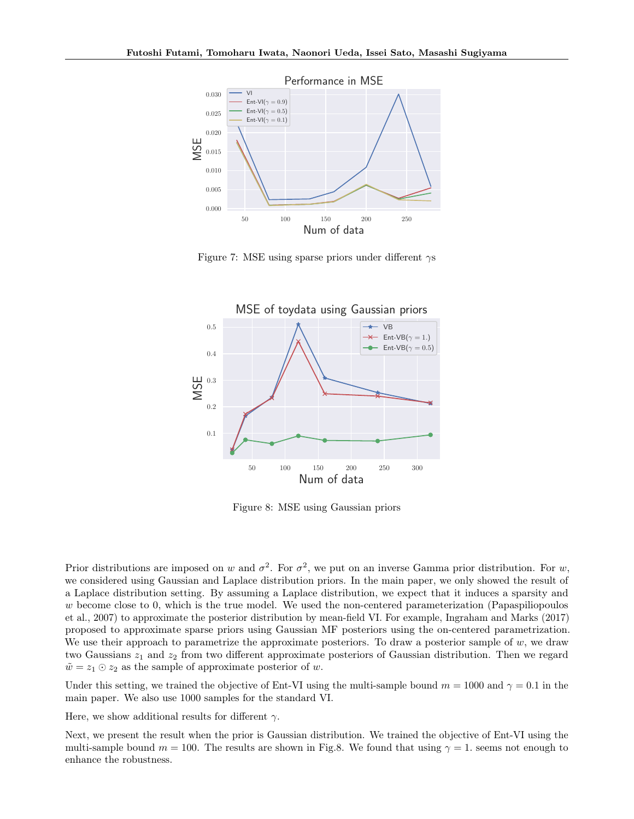

Figure 7: MSE using sparse priors under different  $\gamma s$ 



Figure 8: MSE using Gaussian priors

Prior distributions are imposed on w and  $\sigma^2$ . For  $\sigma^2$ , we put on an inverse Gamma prior distribution. For w, we considered using Gaussian and Laplace distribution priors. In the main paper, we only showed the result of a Laplace distribution setting. By assuming a Laplace distribution, we expect that it induces a sparsity and w become close to 0, which is the true model. We used the non-centered parameterization (Papaspiliopoulos et al., 2007) to approximate the posterior distribution by mean-field VI. For example, Ingraham and Marks (2017) proposed to approximate sparse priors using Gaussian MF posteriors using the on-centered parametrization. We use their approach to parametrize the approximate posteriors. To draw a posterior sample of  $w$ , we draw two Gaussians  $z_1$  and  $z_2$  from two different approximate posteriors of Gaussian distribution. Then we regard  $\tilde{w} = z_1 \odot z_2$  as the sample of approximate posterior of w.

Under this setting, we trained the objective of Ent-VI using the multi-sample bound  $m = 1000$  and  $\gamma = 0.1$  in the main paper. We also use 1000 samples for the standard VI.

Here, we show additional results for different  $\gamma$ .

Next, we present the result when the prior is Gaussian distribution. We trained the objective of Ent-VI using the multi-sample bound  $m = 100$ . The results are shown in Fig.8. We found that using  $\gamma = 1$ , seems not enough to enhance the robustness.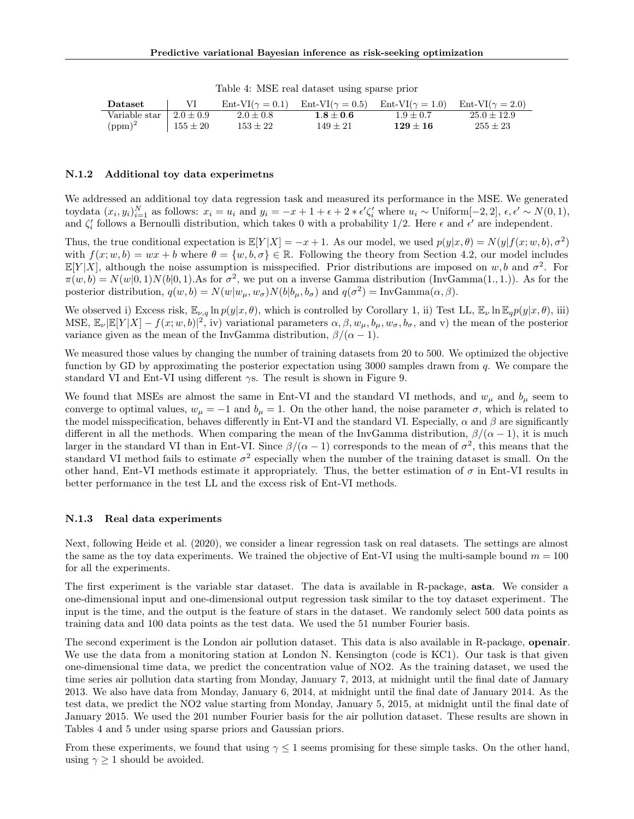Table 4: MSE real dataset using sparse prior

| Dataset                         |              | $Ent-VI(\gamma=0.1)$ | Ent-VI( $\gamma = 0.5$ ) | $\text{Ent-VI}(\gamma = 1.0)$ $\text{Ent-VI}(\gamma = 2.0)$ |               |
|---------------------------------|--------------|----------------------|--------------------------|-------------------------------------------------------------|---------------|
| Variable star $\pm 2.0 \pm 0.9$ |              | $2.0 \pm 0.8$        | $1.8 + 0.6$              | $1.9 + 0.7$                                                 | $25.0 + 12.9$ |
| $(ppm)^2$                       | $155 \pm 20$ | $153 + 22$           | $149 + 21$               | $129 + 16$                                                  | $255 + 23$    |

#### N.1.2 Additional toy data experimetns

We addressed an additional toy data regression task and measured its performance in the MSE. We generated toydata  $(x_i, y_i)_{i=1}^N$  as follows:  $x_i = u_i$  and  $y_i = -x + 1 + \epsilon + 2 * \epsilon' \zeta'_i$  where  $u_i \sim \text{Uniform}[-2, 2], \epsilon, \epsilon' \sim N(0, 1),$ and  $\zeta_i'$  follows a Bernoulli distribution, which takes 0 with a probability 1/2. Here  $\epsilon$  and  $\epsilon'$  are independent.

Thus, the true conditional expectation is  $\mathbb{E}[Y|X] = -x + 1$ . As our model, we used  $p(y|x, \theta) = N(y|f(x; w, b), \sigma^2)$ with  $f(x; w, b) = wx + b$  where  $\theta = \{w, b, \sigma\} \in \mathbb{R}$ . Following the theory from Section 4.2, our model includes  $\mathbb{E}[Y|X]$ , although the noise assumption is misspecified. Prior distributions are imposed on w, b and  $\sigma^2$ . For  $\pi(w, b) = N(w|0, 1)N(b|0, 1)$ . As for  $\sigma^2$ , we put on a inverse Gamma distribution (InvGamma(1,1,1)). As for the posterior distribution,  $q(w, b) = N(w|w_{\mu}, w_{\sigma})N(b|b_{\mu}, b_{\sigma})$  and  $q(\sigma^2) = InvGamma(\alpha, \beta)$ .

We observed i) Excess risk,  $\mathbb{E}_{\nu,q} \ln p(y|x,\theta)$ , which is controlled by Corollary 1, ii) Test LL,  $\mathbb{E}_{\nu} \ln \mathbb{E}_{q} p(y|x,\theta)$ , iii) MSE,  $\mathbb{E}_{\nu}|\mathbb{E}[Y|X] - f(x; w, b)|^2$ , iv) variational parameters  $\alpha, \beta, w_{\mu}, b_{\mu}, w_{\sigma}, b_{\sigma}$ , and v) the mean of the posterior variance given as the mean of the InvGamma distribution,  $\beta/(\alpha - 1)$ .

We measured those values by changing the number of training datasets from 20 to 500. We optimized the objective function by GD by approximating the posterior expectation using  $3000$  samples drawn from q. We compare the standard VI and Ent-VI using different  $\gamma$ s. The result is shown in Figure 9.

We found that MSEs are almost the same in Ent-VI and the standard VI methods, and  $w_{\mu}$  and  $b_{\mu}$  seem to converge to optimal values,  $w_{\mu} = -1$  and  $b_{\mu} = 1$ . On the other hand, the noise parameter  $\sigma$ , which is related to the model misspecification, behaves differently in Ent-VI and the standard VI. Especially,  $\alpha$  and  $\beta$  are significantly different in all the methods. When comparing the mean of the InvGamma distribution,  $\beta/(\alpha - 1)$ , it is much larger in the standard VI than in Ent-VI. Since  $\beta/(\alpha - 1)$  corresponds to the mean of  $\sigma^2$ , this means that the standard VI method fails to estimate  $\sigma^2$  especially when the number of the training dataset is small. On the other hand, Ent-VI methods estimate it appropriately. Thus, the better estimation of  $\sigma$  in Ent-VI results in better performance in the test LL and the excess risk of Ent-VI methods.

### N.1.3 Real data experiments

Next, following Heide et al. (2020), we consider a linear regression task on real datasets. The settings are almost the same as the toy data experiments. We trained the objective of Ent-VI using the multi-sample bound  $m = 100$ for all the experiments.

The first experiment is the variable star dataset. The data is available in R-package, asta. We consider a one-dimensional input and one-dimensional output regression task similar to the toy dataset experiment. The input is the time, and the output is the feature of stars in the dataset. We randomly select 500 data points as training data and 100 data points as the test data. We used the 51 number Fourier basis.

The second experiment is the London air pollution dataset. This data is also available in R-package, openair. We use the data from a monitoring station at London N. Kensington (code is KC1). Our task is that given one-dimensional time data, we predict the concentration value of NO2. As the training dataset, we used the time series air pollution data starting from Monday, January 7, 2013, at midnight until the final date of January 2013. We also have data from Monday, January 6, 2014, at midnight until the final date of January 2014. As the test data, we predict the NO2 value starting from Monday, January 5, 2015, at midnight until the final date of January 2015. We used the 201 number Fourier basis for the air pollution dataset. These results are shown in Tables 4 and 5 under using sparse priors and Gaussian priors.

From these experiments, we found that using  $\gamma \leq 1$  seems promising for these simple tasks. On the other hand, using  $\gamma \geq 1$  should be avoided.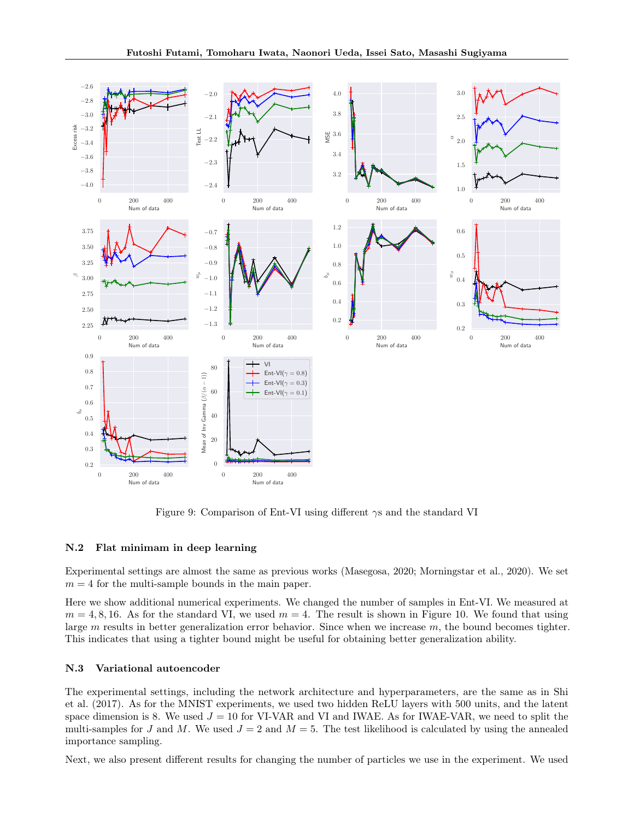

Figure 9: Comparison of Ent-VI using different  $\gamma s$  and the standard VI

### N.2 Flat minimam in deep learning

Experimental settings are almost the same as previous works (Masegosa, 2020; Morningstar et al., 2020). We set  $m = 4$  for the multi-sample bounds in the main paper.

Here we show additional numerical experiments. We changed the number of samples in Ent-VI. We measured at  $m = 4, 8, 16$ . As for the standard VI, we used  $m = 4$ . The result is shown in Figure 10. We found that using large  $m$  results in better generalization error behavior. Since when we increase  $m$ , the bound becomes tighter. This indicates that using a tighter bound might be useful for obtaining better generalization ability.

#### N.3 Variational autoencoder

The experimental settings, including the network architecture and hyperparameters, are the same as in Shi et al. (2017). As for the MNIST experiments, we used two hidden ReLU layers with 500 units, and the latent space dimension is 8. We used  $J = 10$  for VI-VAR and VI and IWAE. As for IWAE-VAR, we need to split the multi-samples for J and M. We used  $J = 2$  and  $M = 5$ . The test likelihood is calculated by using the annealed importance sampling.

Next, we also present different results for changing the number of particles we use in the experiment. We used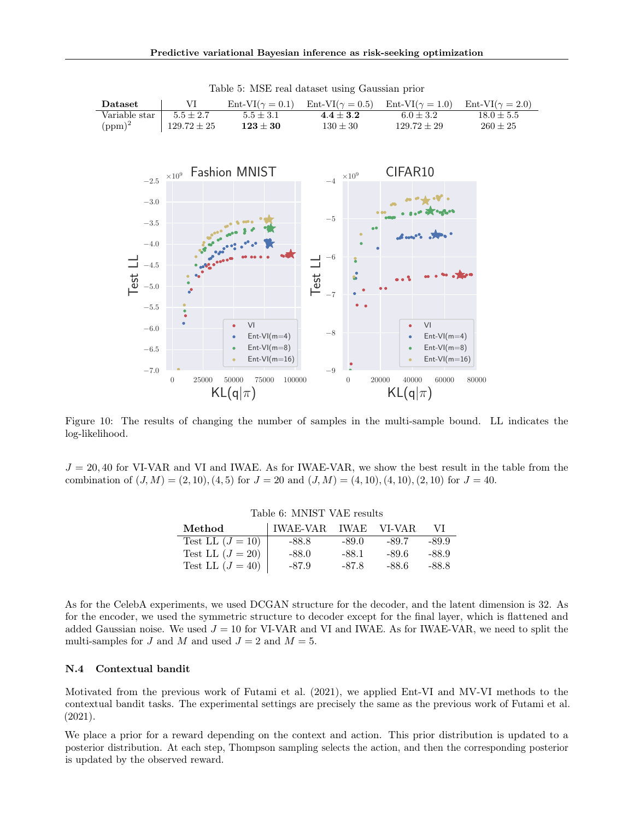| Dataset       | VI              | $Ent-VI(\gamma=0.1)$ | $Ent-VI(\gamma=0.5)$ | $\text{Ent-VI}(\gamma = 1.0)$ $\text{Ent-VI}(\gamma = 2.0)$ |              |
|---------------|-----------------|----------------------|----------------------|-------------------------------------------------------------|--------------|
| Variable star | $5.5 + 2.7$     | $5.5 \pm 3.1$        | $4.4 + 3.2$          | $6.0 + 3.2$                                                 | $18.0 + 5.5$ |
| $(ppm)^2$     | $129.72 \pm 25$ | $123 \pm 30$         | $130 + 30$           | $129.72 \pm 29$                                             | $260 + 25$   |
|               |                 |                      |                      |                                                             |              |

Table 5: MSE real dataset using Gaussian prior



Figure 10: The results of changing the number of samples in the multi-sample bound. LL indicates the log-likelihood.

 $J = 20,40$  for VI-VAR and VI and IWAE. As for IWAE-VAR, we show the best result in the table from the combination of  $(J, M) = (2, 10), (4, 5)$  for  $J = 20$  and  $(J, M) = (4, 10), (4, 10), (2, 10)$  for  $J = 40$ .

| Table 0. MINIST VALIESURS |                      |         |       |       |
|---------------------------|----------------------|---------|-------|-------|
| Method                    | IWAE-VAR IWAE VI-VAR |         |       | VI.   |
| Test LL $(J = 10)$        | $-88.8$              | $-89.0$ | -89.7 | -89.9 |
| Test LL $(J = 20)$        | $-88.0$              | -88.1   | -89.6 | -88.9 |
| Test LL $(J = 40)$        | -87.9                | $-87.8$ | -88.6 | -88.8 |

Table 6: MNICT VAE require

As for the CelebA experiments, we used DCGAN structure for the decoder, and the latent dimension is 32. As for the encoder, we used the symmetric structure to decoder except for the final layer, which is flattened and added Gaussian noise. We used  $J = 10$  for VI-VAR and VI and IWAE. As for IWAE-VAR, we need to split the multi-samples for J and M and used  $J = 2$  and  $M = 5$ .

#### N.4 Contextual bandit

Motivated from the previous work of Futami et al. (2021), we applied Ent-VI and MV-VI methods to the contextual bandit tasks. The experimental settings are precisely the same as the previous work of Futami et al. (2021).

We place a prior for a reward depending on the context and action. This prior distribution is updated to a posterior distribution. At each step, Thompson sampling selects the action, and then the corresponding posterior is updated by the observed reward.